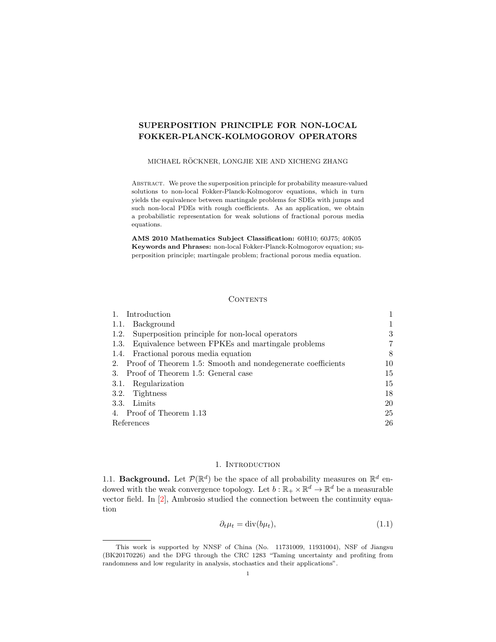# <span id="page-0-3"></span>SUPERPOSITION PRINCIPLE FOR NON-LOCAL FOKKER-PLANCK-KOLMOGOROV OPERATORS

### MICHAEL RÖCKNER, LONGJIE XIE AND XICHENG ZHANG

ABSTRACT. We prove the superposition principle for probability measure-valued solutions to non-local Fokker-Planck-Kolmogorov equations, which in turn yields the equivalence between martingale problems for SDEs with jumps and such non-local PDEs with rough coefficients. As an application, we obtain a probabilistic representation for weak solutions of fractional porous media equations.

AMS 2010 Mathematics Subject Classification: 60H10; 60J75; 40K05 Keywords and Phrases: non-local Fokker-Planck-Kolmogorov equation; superposition principle; martingale problem; fractional porous media equation.

#### **CONTENTS**

| 1. Introduction                                                |    |
|----------------------------------------------------------------|----|
| Background<br>1.1.                                             |    |
| 1.2. Superposition principle for non-local operators           | 3  |
| 1.3. Equivalence between FPKEs and martingale problems         | 7  |
| 1.4. Fractional porous media equation                          | 8  |
| 2. Proof of Theorem 1.5: Smooth and nondegenerate coefficients | 10 |
| 3. Proof of Theorem 1.5: General case                          | 15 |
| 3.1. Regularization                                            | 15 |
| 3.2. Tightness                                                 | 18 |
| 3.3. Limits                                                    | 20 |
| 4. Proof of Theorem 1.13                                       | 25 |
| References                                                     | 26 |

## 1. INTRODUCTION

<span id="page-0-1"></span><span id="page-0-0"></span>1.1. Background. Let  $\mathcal{P}(\mathbb{R}^d)$  be the space of all probability measures on  $\mathbb{R}^d$  endowed with the weak convergence topology. Let  $b : \mathbb{R}_+ \times \mathbb{R}^d \to \mathbb{R}^d$  be a measurable vector field. In [\[2\]](#page-25-1), Ambrosio studied the connection between the continuity equation

<span id="page-0-2"></span>
$$
\partial_t \mu_t = \text{div}(b\mu_t),\tag{1.1}
$$

This work is supported by NNSF of China (No. 11731009, 11931004), NSF of Jiangsu (BK20170226) and the DFG through the CRC 1283 "Taming uncertainty and profiting from randomness and low regularity in analysis, stochastics and their applications".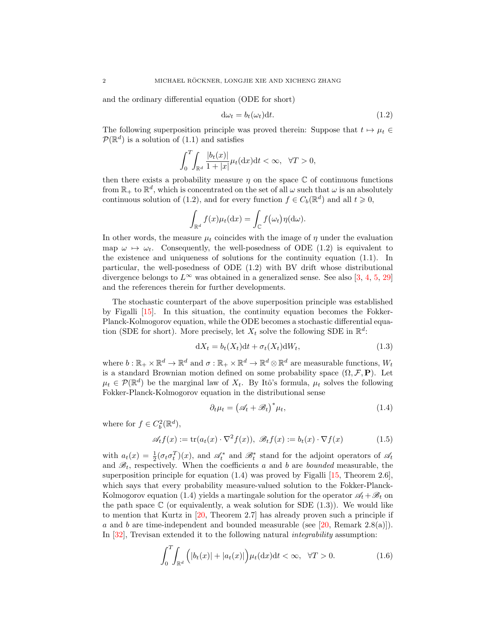and the ordinary differential equation (ODE for short)

<span id="page-1-0"></span>
$$
d\omega_t = b_t(\omega_t)dt.
$$
\n(1.2)

The following superposition principle was proved therein: Suppose that  $t \mapsto \mu_t \in$  $\mathcal{P}(\mathbb{R}^d)$  is a solution of  $(1.1)$  and satisfies

$$
\int_0^T \int_{\mathbb{R}^d} \frac{|b_t(x)|}{1+|x|} \mu_t(\mathrm{d}x) \mathrm{d}t < \infty, \quad \forall T > 0,
$$

then there exists a probability measure  $\eta$  on the space  $\mathbb C$  of continuous functions from  $\mathbb{R}_+$  to  $\mathbb{R}^d$ , which is concentrated on the set of all  $\omega$  such that  $\omega$  is an absolutely continuous solution of [\(1.2\)](#page-1-0), and for every function  $f \in C_b(\mathbb{R}^d)$  and all  $t \geq 0$ ,

$$
\int_{\mathbb{R}^d} f(x) \mu_t(\mathrm{d}x) = \int_{\mathbb{C}} f(\omega_t) \eta(\mathrm{d}\omega).
$$

In other words, the measure  $\mu_t$  coincides with the image of  $\eta$  under the evaluation map  $\omega \mapsto \omega_t$ . Consequently, the well-posedness of ODE [\(1.2\)](#page-1-0) is equivalent to the existence and uniqueness of solutions for the continuity equation [\(1.1\)](#page-0-2). In particular, the well-posedness of ODE [\(1.2\)](#page-1-0) with BV drift whose distributional divergence belongs to  $L^{\infty}$  was obtained in a generalized sense. See also [\[3,](#page-25-2) [4,](#page-25-3) [5,](#page-26-0) [29\]](#page-26-1) and the references therein for further developments.

The stochastic counterpart of the above superposition principle was established by Figalli [\[15\]](#page-26-2). In this situation, the continuity equation becomes the Fokker-Planck-Kolmogorov equation, while the ODE becomes a stochastic differential equation (SDE for short). More precisely, let  $X_t$  solve the following SDE in  $\mathbb{R}^d$ :

$$
dX_t = b_t(X_t)dt + \sigma_t(X_t)dW_t,
$$
\n(1.3)

where  $b: \mathbb{R}_+ \times \mathbb{R}^d \to \mathbb{R}^d$  and  $\sigma: \mathbb{R}_+ \times \mathbb{R}^d \to \mathbb{R}^d \otimes \mathbb{R}^d$  are measurable functions,  $W_t$ is a standard Brownian motion defined on some probability space  $(\Omega, \mathcal{F}, P)$ . Let  $\mu_t \in \mathcal{P}(\mathbb{R}^d)$  be the marginal law of  $X_t$ . By Itô's formula,  $\mu_t$  solves the following Fokker-Planck-Kolmogorov equation in the distributional sense

<span id="page-1-4"></span><span id="page-1-2"></span><span id="page-1-1"></span>
$$
\partial_t \mu_t = \left(\mathcal{A}_t + \mathcal{B}_t\right)^* \mu_t,\tag{1.4}
$$

where for  $f \in C_b^2(\mathbb{R}^d)$ ,

$$
\mathscr{A}_t f(x) := \text{tr}(a_t(x) \cdot \nabla^2 f(x)), \ \mathscr{B}_t f(x) := b_t(x) \cdot \nabla f(x) \tag{1.5}
$$

with  $a_t(x) = \frac{1}{2}(\sigma_t \sigma_t^T)(x)$ , and  $\mathscr{A}_t^*$  and  $\mathscr{B}_t^*$  stand for the adjoint operators of  $\mathscr{A}_t$ and  $\mathcal{B}_t$ , respectively. When the coefficients a and b are bounded measurable, the superposition principle for equation  $(1.4)$  was proved by Figalli [\[15,](#page-26-2) Theorem 2.6], which says that every probability measure-valued solution to the Fokker-Planck-Kolmogorov equation [\(1.4\)](#page-1-1) yields a martingale solution for the operator  $\mathscr{A}_t + \mathscr{B}_t$  on the path space  $\mathbb C$  (or equivalently, a weak solution for SDE  $(1.3)$ ). We would like to mention that Kurtz in [\[20,](#page-26-3) Theorem 2.7] has already proven such a principle if  $a$  and  $b$  are time-independent and bounded measurable (see [\[20,](#page-26-3) Remark 2.8(a)]). In [\[32\]](#page-27-0), Trevisan extended it to the following natural integrability assumption:

<span id="page-1-3"></span>
$$
\int_0^T \int_{\mathbb{R}^d} \left( |b_t(x)| + |a_t(x)| \right) \mu_t(\mathrm{d}x) \mathrm{d}t < \infty, \quad \forall T > 0. \tag{1.6}
$$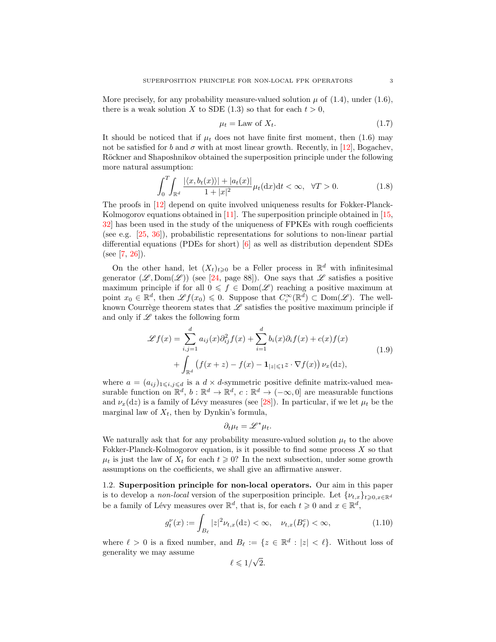More precisely, for any probability measure-valued solution  $\mu$  of [\(1.4\)](#page-1-1), under [\(1.6\)](#page-1-3), there is a weak solution X to SDE [\(1.3\)](#page-1-2) so that for each  $t > 0$ ,

<span id="page-2-2"></span>
$$
\mu_t = \text{Law of } X_t. \tag{1.7}
$$

It should be noticed that if  $\mu_t$  does not have finite first moment, then [\(1.6\)](#page-1-3) may not be satisfied for b and  $\sigma$  with at most linear growth. Recently, in [\[12\]](#page-26-4), Bogachev, Röckner and Shaposhnikov obtained the superposition principle under the following more natural assumption:

$$
\int_{0}^{T} \int_{\mathbb{R}^{d}} \frac{|\langle x, b_{t}(x) \rangle| + |a_{t}(x)|}{1 + |x|^{2}} \mu_{t}(\mathrm{d}x) \mathrm{d}t < \infty, \quad \forall T > 0.
$$
 (1.8)

The proofs in [\[12\]](#page-26-4) depend on quite involved uniqueness results for Fokker-Planck-Kolmogorov equations obtained in  $[11]$ . The superposition principle obtained in  $[15]$ , [32\]](#page-27-0) has been used in the study of the uniqueness of FPKEs with rough coefficients (see e.g. [\[25,](#page-26-6) [36\]](#page-27-1)), probabilistic representations for solutions to non-linear partial differential equations (PDEs for short) [\[6\]](#page-26-7) as well as distribution dependent SDEs  $(see [7, 26]).$  $(see [7, 26]).$  $(see [7, 26]).$  $(see [7, 26]).$  $(see [7, 26]).$ 

On the other hand, let  $(X_t)_{t\geqslant0}$  be a Feller process in  $\mathbb{R}^d$  with infinitesimal generator  $(\mathscr{L}, \text{Dom}(\mathscr{L}))$  (see [\[24,](#page-26-10) page 88]). One says that  $\mathscr{L}$  satisfies a positive maximum principle if for all  $0 \leq f \in Dom(\mathscr{L})$  reaching a positive maximum at point  $x_0 \in \mathbb{R}^d$ , then  $\mathscr{L}f(x_0) \leq 0$ . Suppose that  $C_c^{\infty}(\mathbb{R}^d) \subset \text{Dom}(\mathscr{L})$ . The wellknown Courrège theorem states that  $\mathscr L$  satisfies the positive maximum principle if and only if  $\mathscr L$  takes the following form

$$
\mathcal{L}f(x) = \sum_{i,j=1}^{d} a_{ij}(x)\partial_{ij}^{2}f(x) + \sum_{i=1}^{d} b_{i}(x)\partial_{i}f(x) + c(x)f(x)
$$
  
+ 
$$
\int_{\mathbb{R}^{d}} \left(f(x+z) - f(x) - \mathbf{1}_{|z| \leq 1}z \cdot \nabla f(x)\right) \nu_{x}(\mathrm{d}z), \tag{1.9}
$$

where  $a = (a_{ij})_{1 \leq i,j \leq d}$  is a  $d \times d$ -symmetric positive definite matrix-valued measurable function on  $\mathbb{R}^d$ ,  $b : \mathbb{R}^d \to \mathbb{R}^d$ ,  $c : \mathbb{R}^d \to (-\infty, 0]$  are measurable functions and  $\nu_x(\text{d}z)$  is a family of Lévy measures (see [\[28\]](#page-26-11)). In particular, if we let  $\mu_t$  be the marginal law of  $X_t$ , then by Dynkin's formula,

$$
\partial_t \mu_t = \mathscr{L}^* \mu_t.
$$

We naturally ask that for any probability measure-valued solution  $\mu_t$  to the above Fokker-Planck-Kolmogorov equation, is it possible to find some process X so that  $\mu_t$  is just the law of  $X_t$  for each  $t \geq 0$ ? In the next subsection, under some growth assumptions on the coefficients, we shall give an affirmative answer.

<span id="page-2-0"></span>1.2. Superposition principle for non-local operators. Our aim in this paper is to develop a *non-local* version of the superposition principle. Let  $\{\nu_{t,x}\}_{t>0,x\in\mathbb{R}^d}$ be a family of Lévy measures over  $\mathbb{R}^d$ , that is, for each  $t \geq 0$  and  $x \in \mathbb{R}^d$ ,

$$
g_t^{\nu}(x) := \int_{B_{\ell}} |z|^2 \nu_{t,x}(\mathrm{d}z) < \infty, \quad \nu_{t,x}(B_{\ell}^c) < \infty,\tag{1.10}
$$

where  $\ell > 0$  is a fixed number, and  $B_{\ell} := \{z \in \mathbb{R}^d : |z| < \ell\}.$  Without loss of generality we may assume √

<span id="page-2-1"></span>
$$
\ell \leqslant 1/\sqrt{2}.
$$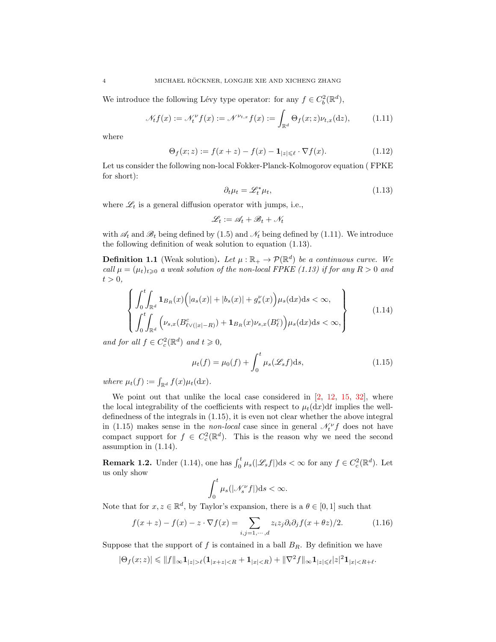We introduce the following Lévy type operator: for any  $f \in C_b^2(\mathbb{R}^d)$ ,

$$
\mathcal{M}_t f(x) := \mathcal{M}_t^{\nu} f(x) := \mathcal{N}^{\nu_{t,x}} f(x) := \int_{\mathbb{R}^d} \Theta_f(x; z) \nu_{t,x}(\mathrm{d}z), \tag{1.11}
$$

where

$$
\Theta_f(x;z) := f(x+z) - f(x) - \mathbf{1}_{|z| \leq \ell} \cdot \nabla f(x). \tag{1.12}
$$

Let us consider the following non-local Fokker-Planck-Kolmogorov equation ( FPKE for short):

<span id="page-3-5"></span><span id="page-3-1"></span><span id="page-3-0"></span>
$$
\partial_t \mu_t = \mathcal{L}_t^* \mu_t,\tag{1.13}
$$

where  $\mathscr{L}_t$  is a general diffusion operator with jumps, i.e.,

<span id="page-3-3"></span>
$$
\mathscr{L}_t := \mathscr{A}_t + \mathscr{B}_t + \mathscr{N}_t
$$

with  $\mathscr{A}_t$  and  $\mathscr{B}_t$  being defined by [\(1.5\)](#page-1-4) and  $\mathscr{N}_t$  being defined by [\(1.11\)](#page-3-0). We introduce the following definition of weak solution to equation [\(1.13\)](#page-3-1).

<span id="page-3-4"></span>**Definition 1.1** (Weak solution). Let  $\mu : \mathbb{R}_+ \to \mathcal{P}(\mathbb{R}^d)$  be a continuous curve. We call  $\mu = (\mu_t)_{t \geq 0}$  a weak solution of the non-local FPKE [\(1.13\)](#page-3-1) if for any  $R > 0$  and  $t > 0$ ,

$$
\left\{\n\int_{0}^{t} \int_{\mathbb{R}^{d}} \mathbf{1}_{B_{R}}(x) \Big(|a_{s}(x)| + |b_{s}(x)| + g'_{s}(x)\Big) \mu_{s}(\mathrm{d}x) \mathrm{d}s \right\}\n\infty,
$$
\n
$$
\left\{\n\int_{0}^{t} \int_{\mathbb{R}^{d}} \Big(\nu_{s,x} (B_{\ell \vee (|x| - R)}^{c}) + \mathbf{1}_{B_{R}}(x) \nu_{s,x} (B_{\ell}^{c})\Big) \mu_{s}(\mathrm{d}x) \mathrm{d}s \right\}\n\tag{1.14}
$$

and for all  $f \in C_c^2(\mathbb{R}^d)$  and  $t \geqslant 0$ ,

<span id="page-3-2"></span>
$$
\mu_t(f) = \mu_0(f) + \int_0^t \mu_s(\mathcal{L}_s f) \mathrm{d}s,\tag{1.15}
$$

where  $\mu_t(f) := \int_{\mathbb{R}^d} f(x) \mu_t(\mathrm{d}x)$ .

We point out that unlike the local case considered in  $[2, 12, 15, 32]$  $[2, 12, 15, 32]$  $[2, 12, 15, 32]$  $[2, 12, 15, 32]$  $[2, 12, 15, 32]$  $[2, 12, 15, 32]$ , where the local integrability of the coefficients with respect to  $\mu_t(\mathrm{d}x)\mathrm{d}t$  implies the welldefinedness of the integrals in [\(1.15\)](#page-3-2), it is even not clear whether the above integral in [\(1.15\)](#page-3-2) makes sense in the *non-local* case since in general  $\mathcal{N}_t^{\nu} f$  does not have compact support for  $f \in C_c^2(\mathbb{R}^d)$ . This is the reason why we need the second assumption in [\(1.14\)](#page-3-3).

**Remark 1.2.** Under [\(1.14\)](#page-3-3), one has  $\int_0^t \mu_s(|\mathcal{L}_s f|)ds < \infty$  for any  $f \in C_c^2(\mathbb{R}^d)$ . Let us only show

<span id="page-3-6"></span>
$$
\int_0^t \mu_s(|\mathcal{N}_s^{\nu} f|)ds < \infty.
$$

Note that for  $x, z \in \mathbb{R}^d$ , by Taylor's expansion, there is a  $\theta \in [0, 1]$  such that

$$
f(x+z) - f(x) - z \cdot \nabla f(x) = \sum_{i,j=1,\dots,d} z_i z_j \partial_i \partial_j f(x+\theta z)/2.
$$
 (1.16)

Suppose that the support of  $f$  is contained in a ball  $B_R$ . By definition we have

 $|\Theta_f(x;z)| \leqslant ||f||_{\infty} \mathbf{1}_{|z| > \ell} (\mathbf{1}_{|x+z| < R} + \mathbf{1}_{|x| < R}) + ||\nabla^2 f||_{\infty} \mathbf{1}_{|z| \leqslant \ell} |z|^2 \mathbf{1}_{|x| < R+\ell}.$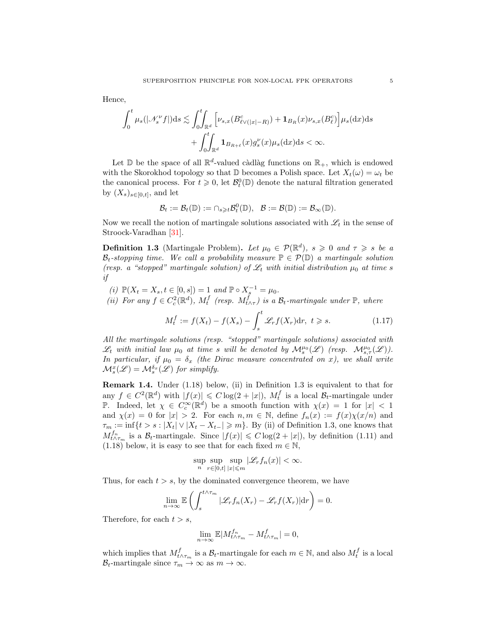Hence,

$$
\int_0^t \mu_s(|\mathcal{N}_s^{\nu}f|)ds \lesssim \int_0^t \int_{\mathbb{R}^d} \left[\nu_{s,x}(B_{\ell \vee(|x|-R)}^c) + \mathbf{1}_{B_R}(x)\nu_{s,x}(B_{\ell}^c)\right] \mu_s(\mathrm{d}x)\mathrm{d}s
$$

$$
+ \int_0^t \int_{\mathbb{R}^d} \mathbf{1}_{B_{R+\ell}}(x)g_s^{\nu}(x)\mu_s(\mathrm{d}x)\mathrm{d}s < \infty.
$$

Let  $\mathbb D$  be the space of all  $\mathbb R^d$ -valued càdlàg functions on  $\mathbb R_+$ , which is endowed with the Skorokhod topology so that  $\mathbb D$  becomes a Polish space. Let  $X_t(\omega) = \omega_t$  be the canonical process. For  $t \geq 0$ , let  $\mathcal{B}_t^0(\mathbb{D})$  denote the natural filtration generated by  $(X_s)_{s \in [0,t]}$ , and let

$$
\mathcal{B}_t:=\mathcal{B}_t(\mathbb{D}):=\cap_{s\geqslant t}\mathcal{B}_t^0(\mathbb{D}),\ \ \mathcal{B}:=\mathcal{B}(\mathbb{D}):=\mathcal{B}_{\infty}(\mathbb{D}).
$$

Now we recall the notion of martingale solutions associated with  $\mathscr{L}_t$  in the sense of Stroock-Varadhan [\[31\]](#page-27-2).

<span id="page-4-0"></span>**Definition 1.3** (Martingale Problem). Let  $\mu_0 \in \mathcal{P}(\mathbb{R}^d)$ ,  $s \geq 0$  and  $\tau \geq s$  be a  $\mathcal{B}_t$ -stopping time. We call a probability measure  $\mathbb{P} \in \mathcal{P}(\mathbb{D})$  a martingale solution (resp. a "stopped" martingale solution) of  $\mathcal{L}_t$  with initial distribution  $\mu_0$  at time s if

(i)  $\mathbb{P}(X_t = X_s, t \in [0, s]) = 1$  and  $\mathbb{P} \circ X_s^{-1} = \mu_0$ .

(ii) For any  $f \in C_c^2(\mathbb{R}^d)$ ,  $M_t^f$  (resp.  $M_{t \wedge \tau}^f$ ) is a  $\mathcal{B}_t$ -martingale under  $\mathbb{P}$ , where

<span id="page-4-1"></span>
$$
M_t^f := f(X_t) - f(X_s) - \int_s^t \mathcal{L}_r f(X_r) dr, \ t \geq s. \tag{1.17}
$$

All the martingale solutions (resp. "stopped" martingale solutions) associated with  $\mathscr{L}_t$  with initial law  $\mu_0$  at time s will be denoted by  $\mathcal{M}_s^{\mu_0}(\mathscr{L})$  (resp.  $\mathcal{M}_{s,\tau}^{\mu_0}(\mathscr{L})$ ). In particular, if  $\mu_0 = \delta_x$  (the Dirac measure concentrated on x), we shall write  $\mathcal{M}_{s}^{x}(\mathscr{L}) = \mathcal{M}_{s}^{\delta_{x}}(\mathscr{L})$  for simplify.

<span id="page-4-2"></span>Remark 1.4. Under [\(1.18\)](#page-5-1) below, (ii) in Definition [1.3](#page-4-0) is equivalent to that for any  $f \in C^2(\mathbb{R}^d)$  with  $|f(x)| \leq C \log(2 + |x|)$ ,  $M_t^f$  is a local  $\mathcal{B}_t$ -martingale under P. Indeed, let  $\chi \in C_c^{\infty}(\mathbb{R}^d)$  be a smooth function with  $\chi(x) = 1$  for  $|x| < 1$ and  $\chi(x) = 0$  for  $|x| > 2$ . For each  $n, m \in \mathbb{N}$ , define  $f_n(x) := f(x)\chi(x/n)$  and  $\tau_m := \inf\{t > s : |X_t| \vee |X_t - X_{t-}| \geqslant m\}.$  By (ii) of Definition [1.3,](#page-4-0) one knows that  $M_{t\wedge\tau_m}^{f_n}$  is a  $\mathcal{B}_t$ -martingale. Since  $|f(x)| \leq C \log(2 + |x|)$ , by definition [\(1.11\)](#page-3-0) and [\(1.18\)](#page-5-1) below, it is easy to see that for each fixed  $m \in \mathbb{N}$ ,

$$
\sup_n \sup_{r \in [0,t]} \sup_{|x| \le m} |\mathscr{L}_r f_n(x)| < \infty.
$$

Thus, for each  $t > s$ , by the dominated convergence theorem, we have

$$
\lim_{n \to \infty} \mathbb{E}\left(\int_s^{t \wedge \tau_m} |\mathcal{L}_r f_n(X_r) - \mathcal{L}_r f(X_r)| dr\right) = 0.
$$

Therefore, for each  $t > s$ ,

$$
\lim_{n \to \infty} \mathbb{E}|M_{t \wedge \tau_m}^{f_n} - M_{t \wedge \tau_m}^{f}| = 0,
$$

which implies that  $M_{t \wedge \tau_m}^f$  is a  $\mathcal{B}_t$ -martingale for each  $m \in \mathbb{N}$ , and also  $M_t^f$  is a local  $\mathcal{B}_t$ -martingale since  $\tau_m \to \infty$  as  $m \to \infty$ .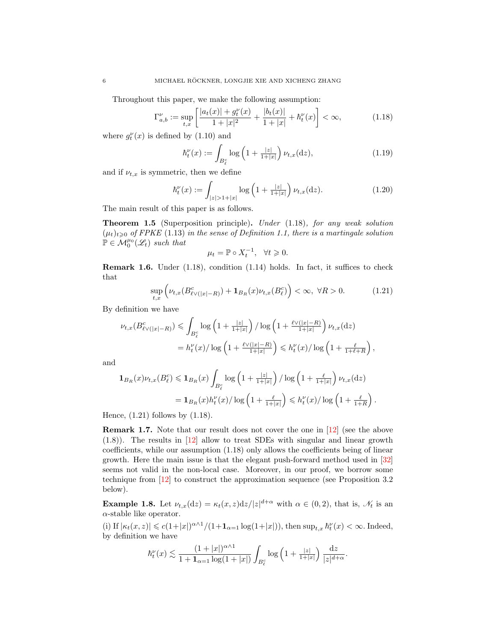Throughout this paper, we make the following assumption:

$$
\Gamma_{a,b}^{\nu} := \sup_{t,x} \left[ \frac{|a_t(x)| + g_t^{\nu}(x)}{1 + |x|^2} + \frac{|b_t(x)|}{1 + |x|} + \hbar_t^{\nu}(x) \right] < \infty,\tag{1.18}
$$

where  $g_t^{\nu}(x)$  is defined by [\(1.10\)](#page-2-1) and

<span id="page-5-5"></span><span id="page-5-1"></span>
$$
\hbar_t^{\nu}(x) := \int_{B_\ell^c} \log\left(1 + \frac{|z|}{1+|x|}\right) \nu_{t,x}(\mathrm{d}z),\tag{1.19}
$$

and if  $\nu_{t,x}$  is symmetric, then we define

$$
\hbar_t^{\nu}(x) := \int_{|z| > 1 + |x|} \log \left( 1 + \frac{|z|}{1 + |x|} \right) \nu_{t,x}(\mathrm{d}z). \tag{1.20}
$$

The main result of this paper is as follows.

<span id="page-5-0"></span>Theorem 1.5 (Superposition principle). Under [\(1.18\)](#page-5-1), for any weak solution  $(\mu_t)_{t\geq0}$  of FPKE [\(1.13\)](#page-3-1) in the sense of Definition [1.1,](#page-3-4) there is a martingale solution  $\mathbb{P} \in \mathcal{M}_0^{\mu_0}(\mathscr{L}_t)$  such that

<span id="page-5-3"></span><span id="page-5-2"></span>
$$
\mu_t = \mathbb{P} \circ X_t^{-1}, \quad \forall t \geq 0.
$$

Remark 1.6. Under [\(1.18\)](#page-5-1), condition [\(1.14\)](#page-3-3) holds. In fact, it suffices to check that

$$
\sup_{t,x} \left( \nu_{t,x}(B_{\ell \vee (|x|-R)}^c) + \mathbf{1}_{B_R}(x) \nu_{t,x}(B_\ell^c) \right) < \infty, \ \forall R > 0. \tag{1.21}
$$

By definition we have

$$
\nu_{t,x}(B_{\ell \vee (|x|-R)}^c) \leq \int_{B_\ell^c} \log \left(1 + \frac{|z|}{1+|x|}\right) / \log \left(1 + \frac{\ell \vee (|x|-R)}{1+|x|}\right) \nu_{t,x}(dz)
$$

$$
= h_t^{\nu}(x) / \log \left(1 + \frac{\ell \vee (|x|-R)}{1+|x|}\right) \leq h_t^{\nu}(x) / \log \left(1 + \frac{\ell}{1+\ell+R}\right),
$$

and

$$
\mathbf{1}_{B_R}(x)\nu_{t,x}(B_\ell^c) \leqslant \mathbf{1}_{B_R}(x) \int_{B_\ell^c} \log\left(1+\frac{|z|}{1+|x|}\right) / \log\left(1+\frac{\ell}{1+|x|}\right) \nu_{t,x}(\mathrm{d}z)
$$

$$
= \mathbf{1}_{B_R}(x) h_t^{\nu}(x) / \log\left(1+\frac{\ell}{1+|x|}\right) \leqslant h_t^{\nu}(x) / \log\left(1+\frac{\ell}{1+R}\right).
$$

Hence,  $(1.21)$  follows by  $(1.18)$ .

Remark 1.7. Note that our result does not cover the one in [\[12\]](#page-26-4) (see the above [\(1.8\)](#page-2-2)). The results in [\[12\]](#page-26-4) allow to treat SDEs with singular and linear growth coefficients, while our assumption [\(1.18\)](#page-5-1) only allows the coefficients being of linear growth. Here the main issue is that the elegant push-forward method used in [\[32\]](#page-27-0) seems not valid in the non-local case. Moreover, in our proof, we borrow some technique from [\[12\]](#page-26-4) to construct the approximation sequence (see Proposition [3.2](#page-0-3) below).

<span id="page-5-4"></span>**Example 1.8.** Let  $\nu_{t,x}(\mathrm{d}z) = \kappa_t(x,z) \mathrm{d}z/|z|^{d+\alpha}$  with  $\alpha \in (0,2)$ , that is,  $\mathcal{N}_t$  is an  $\alpha$ -stable like operator.

(i) If  $|\kappa_t(x, z)| \leqslant c(1+|x|)^{\alpha \wedge 1}/(1+\mathbf{1}_{\alpha=1} \log(1+|x|)),$  then  $\sup_{t,x} h_t^{\nu}(x) < \infty$ . Indeed, by definition we have

$$
\hbar_t^\nu(x)\lesssim \frac{(1+|x|)^{\alpha\wedge 1}}{1+\mathbf{1}_{\alpha=1}\log(1+|x|)}\int_{B_\ell^c}\log\left(1+\tfrac{|z|}{1+|x|}\right)\frac{\mathrm{d}z}{|z|^{d+\alpha}}.
$$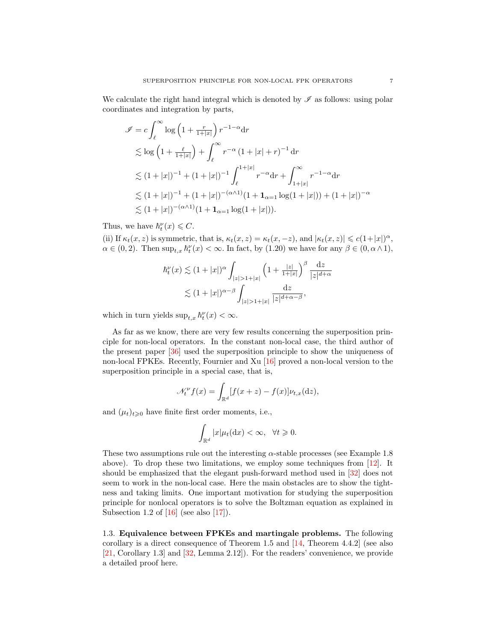We calculate the right hand integral which is denoted by  $\mathscr I$  as follows: using polar coordinates and integration by parts,

$$
\mathcal{I} = c \int_{\ell}^{\infty} \log \left( 1 + \frac{r}{1+|x|} \right) r^{-1-\alpha} dr
$$
  
\n
$$
\lesssim \log \left( 1 + \frac{\ell}{1+|x|} \right) + \int_{\ell}^{\infty} r^{-\alpha} (1+|x|+r)^{-1} dr
$$
  
\n
$$
\lesssim (1+|x|)^{-1} + (1+|x|)^{-1} \int_{\ell}^{1+|x|} r^{-\alpha} dr + \int_{1+|x|}^{\infty} r^{-1-\alpha} dr
$$
  
\n
$$
\lesssim (1+|x|)^{-1} + (1+|x|)^{-(\alpha \wedge 1)} (1+1_{\alpha=1} \log(1+|x|)) + (1+|x|)^{-\alpha}
$$
  
\n
$$
\lesssim (1+|x|)^{-(\alpha \wedge 1)} (1+1_{\alpha=1} \log(1+|x|)).
$$

Thus, we have  $\hbar_t^{\nu}(x) \leq C$ .

(ii) If  $\kappa_t(x, z)$  is symmetric, that is,  $\kappa_t(x, z) = \kappa_t(x, -z)$ , and  $|\kappa_t(x, z)| \leq c(1+|x|)^\alpha$ ,  $\alpha \in (0, 2)$ . Then  $\sup_{t,x} h_t^{\nu}(x) < \infty$ . In fact, by [\(1.20\)](#page-5-3) we have for any  $\beta \in (0, \alpha \wedge 1)$ ,

$$
h_t^{\nu}(x) \lesssim (1+|x|)^{\alpha} \int_{|z|>1+|x|} \left(1+\frac{|z|}{1+|x|}\right)^{\beta} \frac{dz}{|z|^{d+\alpha}}
$$

$$
\lesssim (1+|x|)^{\alpha-\beta} \int_{|z|>1+|x|} \frac{dz}{|z|^{d+\alpha-\beta}},
$$

which in turn yields  $\sup_{t,x} h_t^{\nu}(x) < \infty$ .

As far as we know, there are very few results concerning the superposition principle for non-local operators. In the constant non-local case, the third author of the present paper [\[36\]](#page-27-1) used the superposition principle to show the uniqueness of non-local FPKEs. Recently, Fournier and Xu [\[16\]](#page-26-12) proved a non-local version to the superposition principle in a special case, that is,

$$
\mathcal{N}_t^{\nu} f(x) = \int_{\mathbb{R}^d} [f(x+z) - f(x)] \nu_{t,x}(\mathrm{d}z),
$$

and  $(\mu_t)_{t\geqslant0}$  have finite first order moments, i.e.,

$$
\int_{\mathbb{R}^d} |x| \mu_t(\mathrm{d}x) < \infty, \quad \forall t \geq 0.
$$

These two assumptions rule out the interesting  $\alpha$ -stable processes (see Example [1.8](#page-5-4)) above). To drop these two limitations, we employ some techniques from [\[12\]](#page-26-4). It should be emphasized that the elegant push-forward method used in [\[32\]](#page-27-0) does not seem to work in the non-local case. Here the main obstacles are to show the tightness and taking limits. One important motivation for studying the superposition principle for nonlocal operators is to solve the Boltzman equation as explained in Subsection 1.2 of  $[16]$  (see also  $[17]$ ).

<span id="page-6-0"></span>1.3. Equivalence between FPKEs and martingale problems. The following corollary is a direct consequence of Theorem [1.5](#page-5-0) and [\[14,](#page-26-14) Theorem 4.4.2] (see also [\[21,](#page-26-15) Corollary 1.3] and [\[32,](#page-27-0) Lemma 2.12]). For the readers' convenience, we provide a detailed proof here.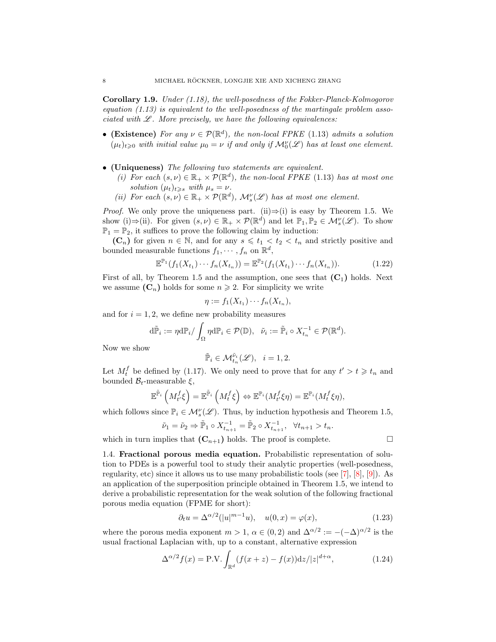Corollary 1.9. Under [\(1.18\)](#page-5-1), the well-posedness of the Fokker-Planck-Kolmogorov equation  $(1.13)$  is equivalent to the well-posedness of the martingale problem associated with  $\mathscr L$ . More precisely, we have the following equivalences:

- (Existence) For any  $\nu \in \mathcal{P}(\mathbb{R}^d)$ , the non-local FPKE [\(1.13\)](#page-3-1) admits a solution  $(\mu_t)_{t\geqslant 0}$  with initial value  $\mu_0 = \nu$  if and only if  $\mathcal{M}_0^{\nu}(\mathscr{L})$  has at least one element.
- (Uniqueness) The following two statements are equivalent.
	- (i) For each  $(s, \nu) \in \mathbb{R}_+ \times \mathcal{P}(\mathbb{R}^d)$ , the non-local FPKE [\(1.13\)](#page-3-1) has at most one solution  $(\mu_t)_{t\geqslant s}$  with  $\mu_s = \nu$ .
	- (ii) For each  $(s, \nu) \in \mathbb{R}_+ \times \mathcal{P}(\mathbb{R}^d)$ ,  $\mathcal{M}_s^{\nu}(\mathcal{L})$  has at most one element.

*Proof.* We only prove the uniqueness part. (ii) $\Rightarrow$ (i) is easy by Theorem [1.5.](#page-5-0) We show (i)  $\Rightarrow$  (ii). For given  $(s, \nu) \in \mathbb{R}_+ \times \mathcal{P}(\mathbb{R}^d)$  and let  $\mathbb{P}_1, \mathbb{P}_2 \in \mathcal{M}_s^{\nu}(\mathscr{L})$ . To show  $\mathbb{P}_1 = \mathbb{P}_2$ , it suffices to prove the following claim by induction:

 $(C_n)$  for given  $n \in \mathbb{N}$ , and for any  $s \leq t_1 < t_2 < t_n$  and strictly positive and bounded measurable functions  $f_1, \dots, f_n$  on  $\mathbb{R}^d$ ,

$$
\mathbb{E}^{\mathbb{P}_1}(f_1(X_{t_1})\cdots f_n(X_{t_n})) = \mathbb{E}^{\mathbb{P}_2}(f_1(X_{t_1})\cdots f_n(X_{t_n})).
$$
\n(1.22)

First of all, by Theorem [1.5](#page-5-0) and the assumption, one sees that  $(C_1)$  holds. Next we assume  $(C_n)$  holds for some  $n \geq 2$ . For simplicity we write

$$
\eta := f_1(X_{t_1}) \cdots f_n(X_{t_n}),
$$

and for  $i = 1, 2$ , we define new probability measures

$$
\mathrm{d}\tilde{\mathbb{P}}_i := \eta \mathrm{d}\mathbb{P}_i / \int_{\Omega} \eta \mathrm{d}\mathbb{P}_i \in \mathcal{P}(\mathbb{D}), \quad \tilde{\nu}_i := \tilde{\mathbb{P}}_i \circ X_{t_n}^{-1} \in \mathcal{P}(\mathbb{R}^d).
$$

Now we show

$$
\tilde{\mathbb{P}}_i \in \mathcal{M}_{t_n}^{\tilde{\nu}_i}(\mathscr{L}), \quad i = 1, 2.
$$

Let  $M_t^f$  be defined by [\(1.17\)](#page-4-1). We only need to prove that for any  $t' > t \geq t_n$  and bounded  $\mathcal{B}_t$ -measurable  $\xi$ ,

$$
\mathbb{E}^{\tilde{\mathbb{P}}_i}\left(M_t^f \xi\right) = \mathbb{E}^{\tilde{\mathbb{P}}_i}\left(M_t^f \xi\right) \Leftrightarrow \mathbb{E}^{\mathbb{P}_i}(M_t^f \xi \eta) = \mathbb{E}^{\mathbb{P}_i}(M_t^f \xi \eta),
$$

which follows since  $\mathbb{P}_i \in \mathcal{M}_s^{\nu}(\mathscr{L})$ . Thus, by induction hypothesis and Theorem [1.5,](#page-5-0)

$$
\tilde{\nu}_1 = \tilde{\nu}_2 \Rightarrow \tilde{\mathbb{P}}_1 \circ X_{t_{n+1}}^{-1} = \tilde{\mathbb{P}}_2 \circ X_{t_{n+1}}^{-1}, \quad \forall t_{n+1} > t_n.
$$

which in turn implies that  $(C_{n+1})$  holds. The proof is complete.

<span id="page-7-2"></span><span id="page-7-1"></span>
$$
\qquad \qquad \Box
$$

<span id="page-7-0"></span>1.4. Fractional porous media equation. Probabilistic representation of solution to PDEs is a powerful tool to study their analytic properties (well-posedness, regularity, etc) since it allows us to use many probabilistic tools (see [\[7\]](#page-26-8), [\[8\]](#page-26-16), [\[9\]](#page-26-17)). As an application of the superposition principle obtained in Theorem [1.5,](#page-5-0) we intend to derive a probabilistic representation for the weak solution of the following fractional porous media equation (FPME for short):

$$
\partial_t u = \Delta^{\alpha/2} (|u|^{m-1} u), \quad u(0, x) = \varphi(x), \tag{1.23}
$$

where the porous media exponent  $m > 1$ ,  $\alpha \in (0, 2)$  and  $\Delta^{\alpha/2} := -(-\Delta)^{\alpha/2}$  is the usual fractional Laplacian with, up to a constant, alternative expression

$$
\Delta^{\alpha/2} f(x) = \text{P.V.} \int_{\mathbb{R}^d} (f(x+z) - f(x)) \, dz / |z|^{d+\alpha},\tag{1.24}
$$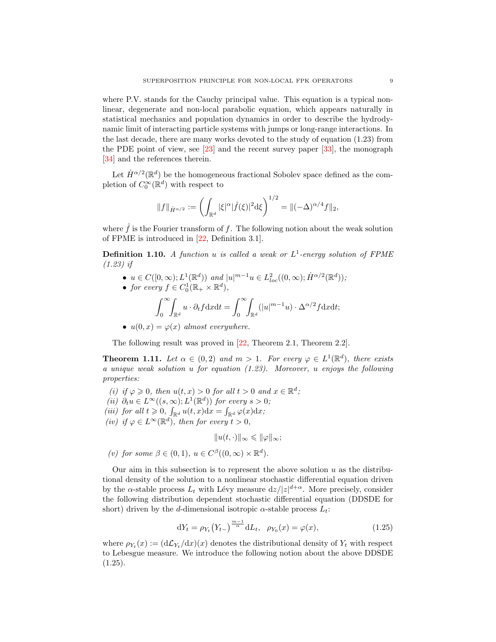where P.V. stands for the Cauchy principal value. This equation is a typical nonlinear, degenerate and non-local parabolic equation, which appears naturally in statistical mechanics and population dynamics in order to describe the hydrodynamic limit of interacting particle systems with jumps or long-range interactions. In the last decade, there are many works devoted to the study of equation [\(1.23\)](#page-7-1) from the PDE point of view, see [\[23\]](#page-26-18) and the recent survey paper [\[33\]](#page-27-3), the monograph [\[34\]](#page-27-4) and the references therein.

Let  $\dot{H}^{\alpha/2}(\mathbb{R}^d)$  be the homogeneous fractional Sobolev space defined as the completion of  $C_0^{\infty}(\mathbb{R}^d)$  with respect to

$$
||f||_{\dot{H}^{\alpha/2}} := \left(\int_{\mathbb{R}^d} |\xi|^\alpha |\hat{f}(\xi)|^2 d\xi\right)^{1/2} = ||(-\Delta)^{\alpha/4} f||_2,
$$

where  $\hat{f}$  is the Fourier transform of f. The following notion about the weak solution of FPME is introduced in [\[22,](#page-26-19) Definition 3.1].

<span id="page-8-2"></span>**Definition 1.10.** A function u is called a weak or  $L^1$ -energy solution of FPME [\(1.23\)](#page-7-1) if

•  $u \in C([0,\infty); L^1(\mathbb{R}^d))$  and  $|u|^{m-1}u \in L^2_{loc}((0,\infty); \dot{H}^{\alpha/2}(\mathbb{R}^d));$ 

• for every 
$$
f \in C_0^1(\mathbb{R}_+ \times \mathbb{R}^d)
$$
,

$$
\int_0^\infty \int_{\mathbb{R}^d} u \cdot \partial_t f \mathrm{d}x \mathrm{d}t = \int_0^\infty \int_{\mathbb{R}^d} (|u|^{m-1} u) \cdot \Delta^{\alpha/2} f \mathrm{d}x \mathrm{d}t;
$$

•  $u(0, x) = \varphi(x)$  almost everywhere.

The following result was proved in [\[22,](#page-26-19) Theorem 2.1, Theorem 2.2].

<span id="page-8-1"></span>**Theorem 1.11.** Let  $\alpha \in (0,2)$  and  $m > 1$ . For every  $\varphi \in L^1(\mathbb{R}^d)$ , there exists a unique weak solution u for equation [\(1.23\)](#page-7-1). Moreover, u enjoys the following properties:

- (i) if  $\varphi \geqslant 0$ , then  $u(t, x) > 0$  for all  $t > 0$  and  $x \in \mathbb{R}^d$ ;
- (ii)  $\partial_t u \in L^\infty((s,\infty); L^1(\mathbb{R}^d))$  for every  $s > 0$ ;
- (iii) for all  $t \geq 0$ ,  $\int_{\mathbb{R}^d} u(t,x) dx = \int_{\mathbb{R}^d} \varphi(x) dx$ ;
- (iv) if  $\varphi \in L^{\infty}(\mathbb{R}^d)$ , then for every  $t > 0$ ,

<span id="page-8-0"></span> $||u(t, \cdot)||_{\infty} \leqslant ||\varphi||_{\infty};$ 

(v) for some  $\beta \in (0,1)$ ,  $u \in C^{\beta}((0,\infty) \times \mathbb{R}^d)$ .

Our aim in this subsection is to represent the above solution  $u$  as the distributional density of the solution to a nonlinear stochastic differential equation driven by the  $\alpha$ -stable process  $L_t$  with Lévy measure  $dz/|z|^{d+\alpha}$ . More precisely, consider the following distribution dependent stochastic differential equation (DDSDE for short) driven by the d-dimensional isotropic  $\alpha$ -stable process  $L_t$ :

$$
dY_t = \rho_{Y_t}(Y_{t-})^{\frac{m-1}{\alpha}} dL_t, \ \ \rho_{Y_0}(x) = \varphi(x), \tag{1.25}
$$

where  $\rho_{Y_t}(x) := (d\mathcal{L}_{Y_t}/dx)(x)$  denotes the distributional density of  $Y_t$  with respect to Lebesgue measure. We introduce the following notion about the above DDSDE  $(1.25).$  $(1.25).$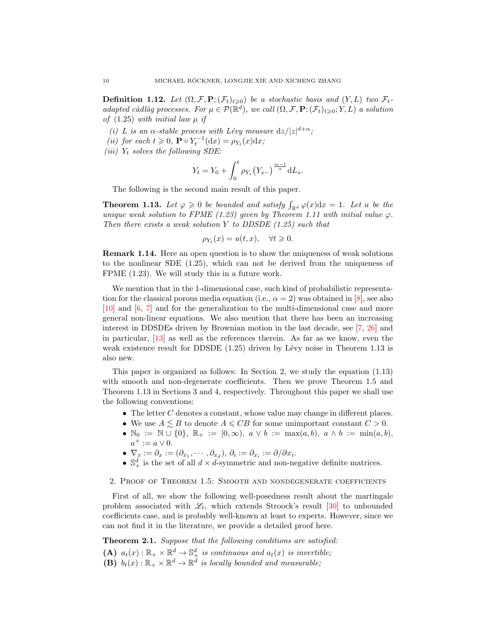**Definition 1.12.** Let  $(\Omega, \mathcal{F}, P; (\mathcal{F}_t)_{t\geq 0})$  be a stochastic basis and  $(Y, L)$  two  $\mathcal{F}_t$ adapted càdlàg processes. For  $\mu \in \mathcal{P}(\mathbb{R}^d)$ , we call  $(\Omega, \mathcal{F}, \mathbf{P}; (\mathcal{F}_t)_{t \geqslant 0}; Y, L)$  a solution of  $(1.25)$  with initial law  $\mu$  if

- (i) L is an  $\alpha$ -stable process with Lévy measure  $dz/|z|^{d+\alpha}$ ;
- (*ii*) for each  $t \geq 0$ ,  $\mathbf{P} \circ Y_t^{-1}(\mathrm{d}x) = \rho_{Y_t}(x)\mathrm{d}x$ ;
- (iii)  $Y_t$  solves the following SDE:

$$
Y_t = Y_0 + \int_0^t \rho_{Y_s}(Y_{s-})^{\frac{m-1}{\alpha}} dL_s.
$$

The following is the second main result of this paper.

<span id="page-9-1"></span>**Theorem 1.13.** Let  $\varphi \geq 0$  be bounded and satisfy  $\int_{\mathbb{R}^d} \varphi(x) dx = 1$ . Let u be the unique weak solution to FPME [\(1.23\)](#page-7-1) given by Theorem [1.11](#page-8-1) with initial value  $\varphi$ . Then there exists a weak solution Y to DDSDE  $(1.25)$  such that

$$
\rho_{Y_t}(x) = u(t, x), \quad \forall t \geq 0.
$$

Remark 1.14. Here an open question is to show the uniqueness of weak solutions to the nonlinear SDE [\(1.25\)](#page-8-0), which can not be derived from the uniqueness of FPME [\(1.23\)](#page-7-1). We will study this in a future work.

We mention that in the 1-dimensional case, such kind of probabilistic representation for the classical porous media equation (i.e.,  $\alpha = 2$ ) was obtained in [\[8\]](#page-26-16), see also [\[10\]](#page-26-20) and [\[6,](#page-26-7) [7\]](#page-26-8) and for the generalization to the multi-dimensional case and more general non-linear equations. We also mention that there has been an increasing interest in DDSDEs driven by Brownian motion in the last decade, see [\[7,](#page-26-8) [26\]](#page-26-9) and in particular, [\[13\]](#page-26-21) as well as the references therein. As far as we know, even the weak existence result for DDSDE  $(1.25)$  driven by Lévy noise in Theorem [1.13](#page-9-1) is also new.

This paper is organized as follows: In Section 2, we study the equation [\(1.13\)](#page-3-1) with smooth and non-degenerate coefficients. Then we prove Theorem [1.5](#page-5-0) and Theorem [1.13](#page-9-1) in Sections 3 and 4, respectively. Throughout this paper we shall use the following conventions:

- $\bullet$  The letter C denotes a constant, whose value may change in different places.
- We use  $A \leq B$  to denote  $A \leq CB$  for some unimportant constant  $C > 0$ .
- $\mathbb{N}_0 := \mathbb{N} \cup \{0\}, \ \mathbb{R}_+ := [0, \infty), \ a \vee b := \max(a, b), \ a \wedge b := \min(a, b),$  $a^+ := a \vee 0.$
- $\nabla_x := \partial_x := (\partial_{x_1}, \cdots, \partial_{x_d}), \, \partial_i := \partial_{x_i} := \partial/\partial x_i.$
- $\mathbb{S}^d_+$  is the set of all  $d \times d$ -symmetric and non-negative definite matrices.

<span id="page-9-0"></span>2. Proof of Theorem [1.5:](#page-5-0) Smooth and nondegenerate coefficients

First of all, we show the following well-posedness result about the martingale problem associated with  $\mathcal{L}_t$ , which extends Stroock's result [\[30\]](#page-26-22) to unbounded coefficients case, and is probably well-known at least to experts. However, since we can not find it in the literature, we provide a detailed proof here.

<span id="page-9-2"></span>Theorem 2.1. Suppose that the following conditions are satisfied: (A)  $a_t(x): \mathbb{R}_+ \times \mathbb{R}^d \to \mathbb{S}_+^d$  is continuous and  $a_t(x)$  is invertible; (B)  $b_t(x): \mathbb{R}_+ \times \mathbb{R}^d \to \mathbb{R}^d$  is locally bounded and measurable;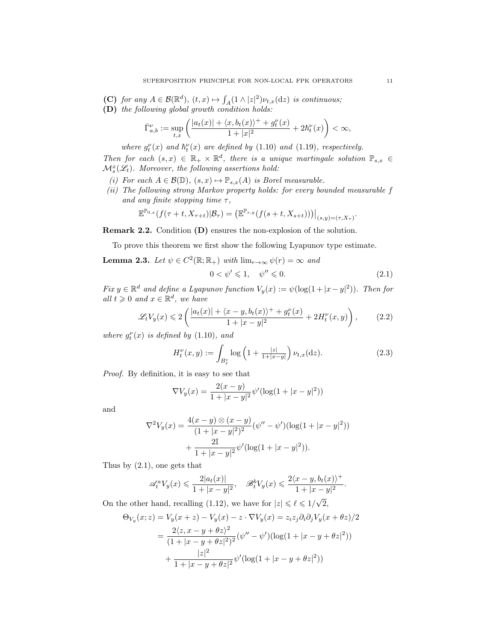- (C) for any  $A \in \mathcal{B}(\mathbb{R}^d)$ ,  $(t, x) \mapsto \int_A (1 \wedge |z|^2) \nu_{t,x}(\mathrm{d}z)$  is continuous;
- (D) the following global growth condition holds:

$$
\bar{\Gamma}_{a,b}^{\nu}:=\sup_{t,x}\left(\frac{|a_{t}(x)|+\langle x,b_{t}(x)\rangle ^{+}+g_{t}^{\nu}(x)}{1+|x|^{2}}+2\hbar_{t}^{\nu}(x)\right)<\infty,
$$

where  $g_t^{\nu}(x)$  and  $\hbar_t^{\nu}(x)$  are defined by [\(1.10\)](#page-2-1) and [\(1.19\)](#page-5-5), respectively.

Then for each  $(s, x) \in \mathbb{R}_+ \times \mathbb{R}^d$ , there is a unique martingale solution  $\mathbb{P}_{s,x}$  $\mathcal{M}^x_{s}(\mathscr{L}_t)$ . Moreover, the following assertions hold:

- (i) For each  $A \in \mathcal{B}(\mathbb{D})$ ,  $(s, x) \mapsto \mathbb{P}_{s,x}(A)$  is Borel measurable.
- (ii) The following strong Markov property holds: for every bounded measurable f and any finite stopping time  $\tau$ ,

$$
\mathbb{E}^{\mathbb{P}_{0,x}}(f(\tau+t,X_{\tau+t})|\mathcal{B}_{\tau})=\big(\mathbb{E}^{\mathbb{P}_{s,y}}(f(s+t,X_{s+t}))\big)\big|_{(s,y)=(\tau,X_{\tau})}.
$$

Remark 2.2. Condition (D) ensures the non-explosion of the solution.

To prove this theorem we first show the following Lyapunov type estimate.

**Lemma 2.3.** Let  $\psi \in C^2(\mathbb{R}; \mathbb{R}_+)$  with  $\lim_{r \to \infty} \psi(r) = \infty$  and

<span id="page-10-2"></span><span id="page-10-1"></span><span id="page-10-0"></span>
$$
0 < \psi' \leqslant 1, \quad \psi'' \leqslant 0. \tag{2.1}
$$

Fix  $y \in \mathbb{R}^d$  and define a Lyapunov function  $V_y(x) := \psi(\log(1+|x-y|^2))$ . Then for all  $t \geq 0$  and  $x \in \mathbb{R}^d$ , we have

$$
\mathscr{L}_t V_y(x) \leq 2 \left( \frac{|a_t(x)| + \langle x - y, b_t(x) \rangle^+ + g_t^{\nu}(x)}{1 + |x - y|^2} + 2H_t^{\nu}(x, y) \right), \tag{2.2}
$$

where  $g_t^{\nu}(x)$  is defined by [\(1.10\)](#page-2-1), and

$$
H_t^{\nu}(x, y) := \int_{B_{\ell}^c} \log \left( 1 + \frac{|z|}{1 + |x - y|} \right) \nu_{t, x}(\mathrm{d}z). \tag{2.3}
$$

Proof. By definition, it is easy to see that

$$
\nabla V_y(x) = \frac{2(x - y)}{1 + |x - y|^2} \psi'(\log(1 + |x - y|^2))
$$

and

$$
\nabla^2 V_y(x) = \frac{4(x-y) \otimes (x-y)}{(1+|x-y|^2)^2} (\psi'' - \psi') (\log(1+|x-y|^2)) + \frac{2\mathbb{I}}{1+|x-y|^2} \psi' (\log(1+|x-y|^2)).
$$

Thus by [\(2.1\)](#page-10-0), one gets that

$$
\mathscr{A}_t^a V_y(x) \leqslant \frac{2|a_t(x)|}{1+|x-y|^2}, \quad \mathscr{B}_t^b V_y(x) \leqslant \frac{2\langle x-y, b_t(x)\rangle^+}{1+|x-y|^2}.
$$

On the other hand, recalling [\(1.12\)](#page-3-5), we have for  $|z| \leq \ell \leq 1/\sqrt{2}$ 2,

$$
\Theta_{V_y}(x;z) = V_y(x+z) - V_y(x) - z \cdot \nabla V_y(x) = z_i z_j \partial_i \partial_j V_y(x+\theta z)/2
$$
  
= 
$$
\frac{2\langle z, x - y + \theta z \rangle^2}{(1+|x-y+\theta z|^2)^2} (\psi'' - \psi')(\log(1+|x-y+\theta z|^2))
$$
  
+ 
$$
\frac{|z|^2}{1+|x-y+\theta z|^2} \psi'(\log(1+|x-y+\theta z|^2))
$$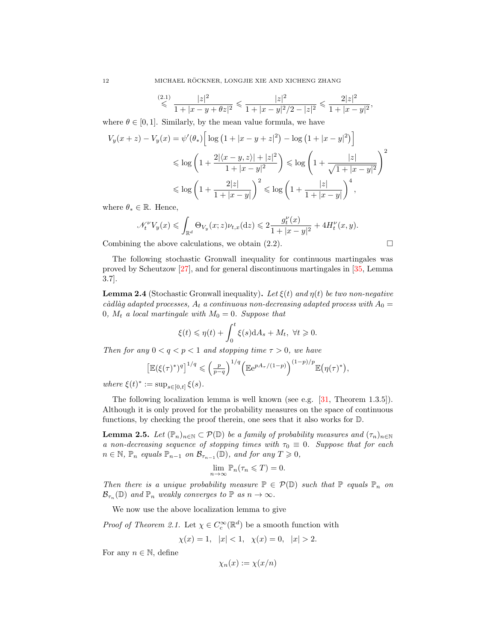$$
\stackrel{(2.1)}{\leqslant} \frac{|z|^2}{1+|x-y+\theta z|^2} \leqslant \frac{|z|^2}{1+|x-y|^2/2-|z|^2} \leqslant \frac{2|z|^2}{1+|x-y|^2},
$$

where  $\theta \in [0, 1]$ . Similarly, by the mean value formula, we have

$$
V_y(x+z) - V_y(x) = \psi'(\theta_*) \left[ \log \left( 1 + |x - y + z|^2 \right) - \log \left( 1 + |x - y|^2 \right) \right]
$$
  
\$\leqslant \log \left( 1 + \frac{2|\langle x - y, z \rangle| + |z|^2}{1 + |x - y|^2} \right) \leqslant \log \left( 1 + \frac{|z|}{\sqrt{1 + |x - y|^2}} \right)^2\$  
\$\leqslant \log \left( 1 + \frac{2|z|}{1 + |x - y|} \right)^2 \leqslant \log \left( 1 + \frac{|z|}{1 + |x - y|} \right)^4,

where  $\theta_* \in \mathbb{R}$ . Hence,

$$
\mathscr{N}_t^\nu V_y(x)\leqslant \int_{\mathbb{R}^d} \Theta_{V_y}(x;z) \nu_{t,x}(\mathrm{d} z)\leqslant 2\frac{g_t^\nu(x)}{1+|x-y|^2}+4H_t^\nu(x,y).
$$

Combining the above calculations, we obtain [\(2.2\)](#page-10-1).

The following stochastic Gronwall inequality for continuous martingales was proved by Scheutzow [\[27\]](#page-26-23), and for general discontinuous martingales in [\[35,](#page-27-5) Lemma 3.7].

<span id="page-11-1"></span>**Lemma 2.4** (Stochastic Gronwall inequality). Let  $\xi(t)$  and  $\eta(t)$  be two non-negative càdlàg adapted processes,  $A_t$  a continuous non-decreasing adapted process with  $A_0 =$ 0,  $M_t$  a local martingale with  $M_0 = 0$ . Suppose that

$$
\xi(t) \leq \eta(t) + \int_0^t \xi(s) \mathrm{d}A_s + M_t, \ \forall t \geq 0.
$$

Then for any  $0 < q < p < 1$  and stopping time  $\tau > 0$ , we have

$$
\left[\mathbb{E}(\xi(\tau)^*)^q\right]^{1/q} \leqslant \left(\frac{p}{p-q}\right)^{1/q} \left(\mathbb{E}e^{pA_\tau/(1-p)}\right)^{(1-p)/p} \mathbb{E}\big(\eta(\tau)^*\big),
$$

where  $\xi(t)^* := \sup_{s \in [0,t]} \xi(s)$ .

The following localization lemma is well known (see e.g. [\[31,](#page-27-2) Theorem 1.3.5]). Although it is only proved for the probability measures on the space of continuous functions, by checking the proof therein, one sees that it also works for D.

<span id="page-11-0"></span>**Lemma 2.5.** Let  $(\mathbb{P}_n)_{n\in\mathbb{N}}\subset \mathcal{P}(\mathbb{D})$  be a family of probability measures and  $(\tau_n)_{n\in\mathbb{N}}$ a non-decreasing sequence of stopping times with  $\tau_0 \equiv 0$ . Suppose that for each  $n \in \mathbb{N}$ ,  $\mathbb{P}_n$  equals  $\mathbb{P}_{n-1}$  on  $\mathcal{B}_{\tau_{n-1}}(\mathbb{D})$ , and for any  $T \geqslant 0$ ,

$$
\lim_{n \to \infty} \mathbb{P}_n(\tau_n \leqslant T) = 0.
$$

Then there is a unique probability measure  $\mathbb{P} \in \mathcal{P}(\mathbb{D})$  such that  $\mathbb{P}$  equals  $\mathbb{P}_n$  on  $\mathcal{B}_{\tau_n}(\mathbb{D})$  and  $\mathbb{P}_n$  weakly converges to  $\mathbb{P}$  as  $n \to \infty$ .

We now use the above localization lemma to give

*Proof of Theorem [2.1.](#page-9-2)* Let  $\chi \in C_c^{\infty}(\mathbb{R}^d)$  be a smooth function with

$$
\chi(x) = 1, \quad |x| < 1, \quad \chi(x) = 0, \quad |x| > 2.
$$

For any  $n \in \mathbb{N}$ , define

$$
\chi_n(x) := \chi(x/n)
$$

$$
\Box
$$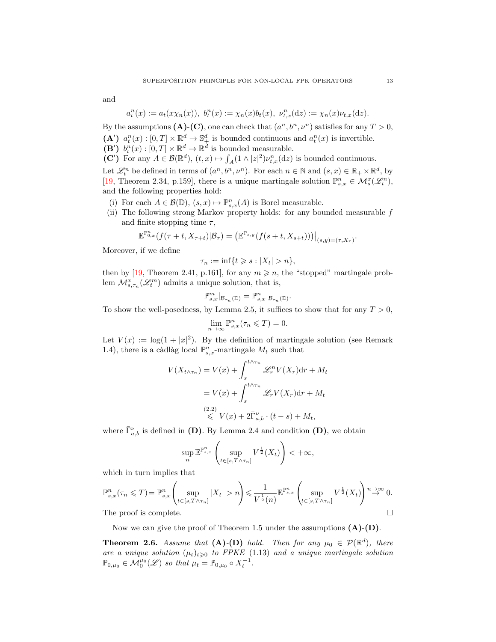and

$$
a_t^n(x) := a_t(x\chi_n(x)), \ b_t^n(x) := \chi_n(x)b_t(x), \ \nu_{t,x}^n(\mathrm{d}z) := \chi_n(x)\nu_{t,x}(\mathrm{d}z).
$$

By the assumptions (A)-(C), one can check that  $(a^n, b^n, \nu^n)$  satisfies for any  $T > 0$ , (A')  $a_t^n(x) : [0, T] \times \mathbb{R}^d \to \mathbb{S}_+^d$  is bounded continuous and  $a_t^n(x)$  is invertible.

- (B')  $b_t^n(x) : [0, T] \times \mathbb{R}^d \to \mathbb{R}^d$  is bounded measurable.
- (C') For any  $A \in \mathcal{B}(\mathbb{R}^d)$ ,  $(t, x) \mapsto \int_A (1 \wedge |z|^2) \nu_{t, x}^n(\mathrm{d}z)$  is bounded continuous.

Let  $\mathcal{L}_t^n$  be defined in terms of  $(a^n, b^n, \nu^n)$ . For each  $n \in \mathbb{N}$  and  $(s, x) \in \mathbb{R}_+ \times \mathbb{R}^d$ , by [\[19,](#page-26-24) Theorem 2.34, p.159], there is a unique martingale solution  $\mathbb{P}^n_{s,x} \in \mathcal{M}^x_s(\mathcal{L}^n_t)$ , and the following properties hold:

- (i) For each  $A \in \mathcal{B}(\mathbb{D})$ ,  $(s, x) \mapsto \mathbb{P}^n_{s, x}(A)$  is Borel measurable.
- (ii) The following strong Markov property holds: for any bounded measurable  $f$ and finite stopping time  $\tau$ ,

$$
\mathbb{E}^{\mathbb{P}^n_{0,x}}(f(\tau+t, X_{\tau+t})|\mathcal{B}_{\tau}) = (\mathbb{E}^{\mathbb{P}_{s,y}}(f(s+t, X_{s+t})))|_{(s,y)=(\tau, X_{\tau})}.
$$

Moreover, if we define

$$
\tau_n := \inf\{t \geqslant s : |X_t| > n\},\
$$

then by [\[19,](#page-26-24) Theorem 2.41, p.161], for any  $m \geq n$ , the "stopped" martingale problem  $\mathcal{M}_{s,\tau_n}^x(\mathscr{L}_t^m)$  admits a unique solution, that is,

$$
\mathbb{P}^m_{s,x}|_{\mathcal{B}_{\tau_n}(\mathbb{D})}=\mathbb{P}^n_{s,x}|_{\mathcal{B}_{\tau_n}(\mathbb{D})}.
$$

To show the well-posedness, by Lemma [2.5,](#page-11-0) it suffices to show that for any  $T > 0$ ,

$$
\lim_{n \to \infty} \mathbb{P}^n_{s,x}(\tau_n \leqslant T) = 0.
$$

Let  $V(x) := \log(1+|x|^2)$ . By the definition of martingale solution (see Remark [1.4\)](#page-4-2), there is a càdlàg local  $\mathbb{P}^n_{s,x}$ -martingale  $M_t$  such that

$$
V(X_{t \wedge \tau_n}) = V(x) + \int_s^{t \wedge \tau_n} \mathcal{L}_r^n V(X_r) dr + M_t
$$
  
=  $V(x) + \int_s^{t \wedge \tau_n} \mathcal{L}_r V(X_r) dr + M_t$   
 $\stackrel{(2.2)}{\leq} V(x) + 2\overline{\Gamma}_{a,b}^{\nu} \cdot (t-s) + M_t,$ 

where  $\bar{\Gamma}_{a,b}^{\nu}$  is defined in (D). By Lemma [2.4](#page-11-1) and condition (D), we obtain

$$
\sup_{n} \mathbb{E}^{\mathbb{P}^n_{s,x}} \left( \sup_{t \in [s,T \wedge \tau_n]} V^{\frac{1}{2}}(X_t) \right) < +\infty,
$$

which in turn implies that

$$
\mathbb{P}^n_{s,x}(\tau_n \leq T) = \mathbb{P}^n_{s,x} \left( \sup_{t \in [s,T \wedge \tau_n]} |X_t| > n \right) \leq \frac{1}{V^{\frac{1}{2}}(n)} \mathbb{E}^{\mathbb{P}^n_{s,x}} \left( \sup_{t \in [s,T \wedge \tau_n]} V^{\frac{1}{2}}(X_t) \right) \stackrel{n \to \infty}{\to} 0.
$$
  
The proof is complete.

Now we can give the proof of Theorem [1.5](#page-5-0) under the assumptions  $(A)$ - $(D)$ .

<span id="page-12-0"></span>**Theorem 2.6.** Assume that  $(A)$ - $(D)$  hold. Then for any  $\mu_0 \in \mathcal{P}(\mathbb{R}^d)$ , there are a unique solution  $(\mu_t)_{t\geq0}$  to FPKE [\(1.13\)](#page-3-1) and a unique martingale solution  $\mathbb{P}_{0,\mu_0} \in \mathcal{M}_0^{\mu_0}(\mathscr{L})$  so that  $\mu_t = \mathbb{P}_{0,\mu_0} \circ X_t^{-1}$ .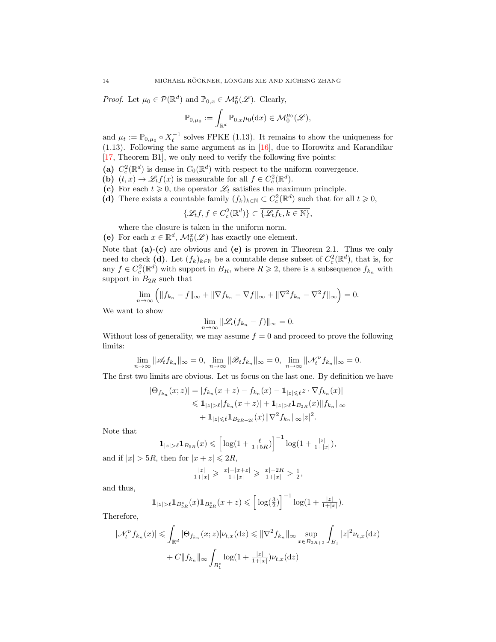*Proof.* Let  $\mu_0 \in \mathcal{P}(\mathbb{R}^d)$  and  $\mathbb{P}_{0,x} \in \mathcal{M}_0^x(\mathscr{L})$ . Clearly,

$$
\mathbb{P}_{0,\mu_0} := \int_{\mathbb{R}^d} \mathbb{P}_{0,x} \mu_0(\mathrm{d}x) \in \mathcal{M}_0^{\mu_0}(\mathscr{L}),
$$

and  $\mu_t := \mathbb{P}_{0,\mu_0} \circ X_t^{-1}$  solves FPKE [\(1.13\)](#page-3-1). It remains to show the uniqueness for [\(1.13\)](#page-3-1). Following the same argument as in [\[16\]](#page-26-12), due to Horowitz and Karandikar [\[17,](#page-26-13) Theorem B1], we only need to verify the following five points:

- (a)  $C_c^2(\mathbb{R}^d)$  is dense in  $C_0(\mathbb{R}^d)$  with respect to the uniform convergence.
- (b)  $(t, x) \to \mathscr{L}_t f(x)$  is measurable for all  $f \in C_c^2(\mathbb{R}^d)$ .
- (c) For each  $t \geq 0$ , the operator  $\mathscr{L}_t$  satisfies the maximum principle.
- (d) There exists a countable family  $(f_k)_{k \in \mathbb{N}} \subset C_c^2(\mathbb{R}^d)$  such that for all  $t \geq 0$ ,

$$
\{\mathscr{L}_t f,f\in C_c^2(\mathbb{R}^d)\}\subset\overline{\{\mathscr{L}_t f_k,k\in\mathbb{N}\}},
$$

where the closure is taken in the uniform norm.

(e) For each  $x \in \mathbb{R}^d$ ,  $\mathcal{M}_0^x(\mathcal{L})$  has exactly one element.

Note that  $(a)-(c)$  are obvious and  $(e)$  is proven in Theorem [2.1.](#page-9-2) Thus we only need to check (d). Let  $(f_k)_{k\in\mathbb{N}}$  be a countable dense subset of  $C_c^2(\mathbb{R}^d)$ , that is, for any  $f \in C_c^2(\mathbb{R}^d)$  with support in  $B_R$ , where  $R \geq 2$ , there is a subsequence  $f_{k_n}$  with support in  $B_{2R}$  such that

$$
\lim_{n \to \infty} \left( \|f_{k_n} - f\|_{\infty} + \|\nabla f_{k_n} - \nabla f\|_{\infty} + \|\nabla^2 f_{k_n} - \nabla^2 f\|_{\infty} \right) = 0.
$$

We want to show

$$
\lim_{n\to\infty} \|\mathcal{L}_t(f_{k_n}-f)\|_{\infty}=0.
$$

Without loss of generality, we may assume  $f = 0$  and proceed to prove the following limits:

$$
\lim_{n\to\infty} \|\mathscr{A}_t f_{k_n}\|_{\infty} = 0, \ \lim_{n\to\infty} \|\mathscr{B}_t f_{k_n}\|_{\infty} = 0, \ \lim_{n\to\infty} \|\mathscr{N}_t^\nu f_{k_n}\|_{\infty} = 0.
$$

The first two limits are obvious. Let us focus on the last one. By definition we have

$$
|\Theta_{f_{k_n}}(x;z)| = |f_{k_n}(x+z) - f_{k_n}(x) - \mathbf{1}_{|z| \le \ell} z \cdot \nabla f_{k_n}(x)|
$$
  
\n
$$
\le \mathbf{1}_{|z| > \ell} |f_{k_n}(x+z)| + \mathbf{1}_{|z| > \ell} \mathbf{1}_{B_{2R}}(x) ||f_{k_n}||_{\infty}
$$
  
\n
$$
+ \mathbf{1}_{|z| \le \ell} \mathbf{1}_{B_{2R+2\ell}}(x) ||\nabla^2 f_{k_n}||_{\infty} |z|^2.
$$

Note that

$$
\mathbf{1}_{|z|>\ell} \mathbf{1}_{B_{5R}}(x) \leqslant \left[ \log(1 + \frac{\ell}{1+5R}) \right]^{-1} \log(1 + \frac{|z|}{1+|x|}),
$$

and if  $|x| > 5R$ , then for  $|x+z| \le 2R$ ,

$$
\tfrac{|z|}{1+|x|}\geqslant\tfrac{|x|-|x+z|}{1+|x|}\geqslant\tfrac{|x|-2R}{1+|x|}>\tfrac{1}{2},
$$

and thus,

$$
\mathbf{1}_{|z|>\ell} \mathbf{1}_{B_{5R}^c}(x) \mathbf{1}_{B_{2R}^c}(x+z) \leqslant \left[ \log(\frac{3}{2}) \right]^{-1} \log(1+\frac{|z|}{1+|x|}).
$$

Therefore,

$$
|\mathcal{N}_t^{\nu} f_{k_n}(x)| \leq \int_{\mathbb{R}^d} |\Theta_{f_{k_n}}(x; z)| \nu_{t,x}(\mathrm{d}z) \leq ||\nabla^2 f_{k_n}||_{\infty} \sup_{x \in B_{2R+2}} \int_{B_1} |z|^2 \nu_{t,x}(\mathrm{d}z) + C ||f_{k_n}||_{\infty} \int_{B_1^c} \log(1 + \frac{|z|}{1+|x|}) \nu_{t,x}(\mathrm{d}z)
$$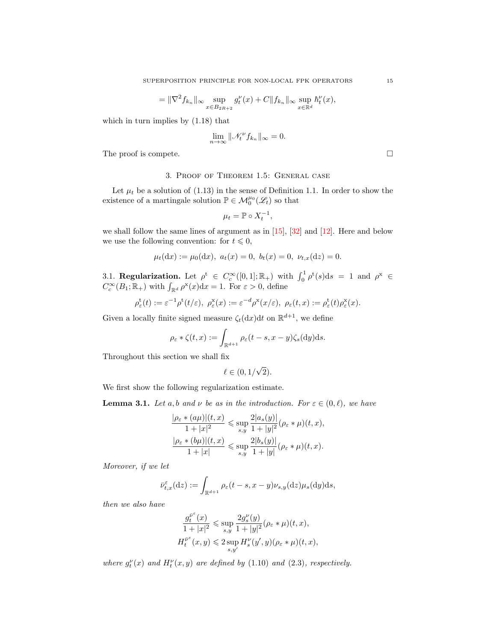$$
= \|\nabla^2 f_{k_n}\|_{\infty} \sup_{x \in B_{2R+2}} g_t^{\nu}(x) + C \|f_{k_n}\|_{\infty} \sup_{x \in \mathbb{R}^d} h_t^{\nu}(x),
$$

which in turn implies by [\(1.18\)](#page-5-1) that

$$
\lim_{n \to \infty} \|\mathcal{N}_t^{\nu} f_{k_n}\|_{\infty} = 0.
$$

The proof is compete.

3. Proof of Theorem [1.5:](#page-5-0) General case

<span id="page-14-0"></span>Let  $\mu_t$  be a solution of [\(1.13\)](#page-3-1) in the sense of Definition [1.1.](#page-3-4) In order to show the existence of a martingale solution  $\mathbb{P} \in \mathcal{M}_{0}^{\mu_{0}}(\mathscr{L}_{t})$  so that

$$
\mu_t = \mathbb{P} \circ X_t^{-1},
$$

we shall follow the same lines of argument as in [\[15\]](#page-26-2), [\[32\]](#page-27-0) and [\[12\]](#page-26-4). Here and below we use the following convention: for  $t \leq 0$ ,

$$
\mu_t(\mathrm{d}x) := \mu_0(\mathrm{d}x), \ a_t(x) = 0, \ b_t(x) = 0, \ \nu_{t,x}(\mathrm{d}z) = 0.
$$

<span id="page-14-1"></span>3.1. Regularization. Let  $\rho^t \in C_c^{\infty}([0,1]; \mathbb{R}_+)$  with  $\int_0^1 \rho^t(s) ds = 1$  and  $\rho^x \in$  $C_c^{\infty}(B_1; \mathbb{R}_+)$  with  $\int_{\mathbb{R}^d} \rho^{\mathbf{x}}(x) dx = 1$ . For  $\varepsilon > 0$ , define

$$
\rho_{\varepsilon}^{\mathbf{t}}(t) := \varepsilon^{-1} \rho^{\mathbf{t}}(t/\varepsilon), \ \rho_{\varepsilon}^{\mathbf{x}}(x) := \varepsilon^{-d} \rho^{\mathbf{x}}(x/\varepsilon), \ \rho_{\varepsilon}(t,x) := \rho_{\varepsilon}^{\mathbf{t}}(t) \rho_{\varepsilon}^{\mathbf{x}}(x).
$$

Given a locally finite signed measure  $\zeta_t(\mathrm{d}x) \mathrm{d}t$  on  $\mathbb{R}^{d+1}$ , we define

$$
\rho_{\varepsilon} * \zeta(t, x) := \int_{\mathbb{R}^{d+1}} \rho_{\varepsilon}(t - s, x - y) \zeta_s(dy) \mathrm{d}s.
$$

Throughout this section we shall fix

$$
\ell \in (0, 1/\sqrt{2}).
$$

We first show the following regularization estimate.

<span id="page-14-2"></span>**Lemma 3.1.** Let a,b and  $\nu$  be as in the introduction. For  $\varepsilon \in (0, \ell)$ , we have

$$
\frac{|\rho_{\varepsilon} * (a\mu)| (t, x)}{1 + |x|^2} \leq \sup_{s, y} \frac{2|a_s(y)|}{1 + |y|^2} (\rho_{\varepsilon} * \mu)(t, x),
$$
  

$$
\frac{|\rho_{\varepsilon} * (b\mu)| (t, x)}{1 + |x|} \leq \sup_{s, y} \frac{2|b_s(y)|}{1 + |y|} (\rho_{\varepsilon} * \mu)(t, x).
$$

Moreover, if we let

$$
\bar{\nu}_{t,x}^{\varepsilon}(\mathrm{d}z) := \int_{\mathbb{R}^{d+1}} \rho_{\varepsilon}(t-s, x-y) \nu_{s,y}(\mathrm{d}z) \mu_{s}(\mathrm{d}y) \mathrm{d}s,
$$

then we also have

$$
\frac{g_t^{\bar{\nu}^\varepsilon}(x)}{1+|x|^2}\leqslant \sup_{s,y}\frac{2g_s^{\nu}(y)}{1+|y|^2}(\rho_\varepsilon*\mu)(t,x),
$$
 
$$
H_t^{\bar{\nu}^\varepsilon}(x,y)\leqslant 2\sup_{s,y'}H_s^{\nu}(y',y)(\rho_\varepsilon*\mu)(t,x),
$$

where  $g_t^{\nu}(x)$  and  $H_t^{\nu}(x, y)$  are defined by [\(1.10\)](#page-2-1) and [\(2.3\)](#page-10-2), respectively.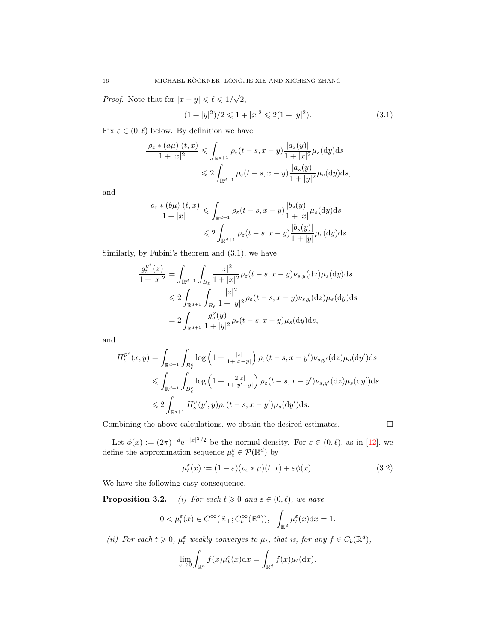*Proof.* Note that for  $|x - y| \leq \ell \leq 1/\sqrt{\ell}$ 2,

<span id="page-15-0"></span>
$$
(1+|y|^2)/2 \leq 1+|x|^2 \leq 2(1+|y|^2). \tag{3.1}
$$

Fix  $\varepsilon \in (0, \ell)$  below. By definition we have

$$
\frac{|\rho_{\varepsilon} * (a\mu)|(t, x)}{1+|x|^2} \leq \int_{\mathbb{R}^{d+1}} \rho_{\varepsilon}(t-s, x-y) \frac{|a_s(y)|}{1+|x|^2} \mu_s(\mathrm{d}y) \mathrm{d}s
$$
  

$$
\leq 2 \int_{\mathbb{R}^{d+1}} \rho_{\varepsilon}(t-s, x-y) \frac{|a_s(y)|}{1+|y|^2} \mu_s(\mathrm{d}y) \mathrm{d}s,
$$

and

$$
\frac{|\rho_{\varepsilon} * (b\mu)|(t, x)}{1+|x|} \leq \int_{\mathbb{R}^{d+1}} \rho_{\varepsilon}(t-s, x-y) \frac{|b_s(y)|}{1+|x|} \mu_s(\mathrm{d}y) \mathrm{d}s
$$
  

$$
\leq 2 \int_{\mathbb{R}^{d+1}} \rho_{\varepsilon}(t-s, x-y) \frac{|b_s(y)|}{1+|y|} \mu_s(\mathrm{d}y) \mathrm{d}s.
$$

Similarly, by Fubini's theorem and [\(3.1\)](#page-15-0), we have

$$
\frac{g_t^{\bar{\nu}^{\varepsilon}}(x)}{1+|x|^2} = \int_{\mathbb{R}^{d+1}} \int_{B_{\ell}} \frac{|z|^2}{1+|x|^2} \rho_{\varepsilon}(t-s, x-y) \nu_{s,y}(\mathrm{d}z) \mu_s(\mathrm{d}y) \mathrm{d}s
$$
  
\$\leqslant 2 \int\_{\mathbb{R}^{d+1}} \int\_{B\_{\ell}} \frac{|z|^2}{1+|y|^2} \rho\_{\varepsilon}(t-s, x-y) \nu\_{s,y}(\mathrm{d}z) \mu\_s(\mathrm{d}y) \mathrm{d}s\$  
= 2 \int\_{\mathbb{R}^{d+1}} \frac{g\_s^{\nu}(y)}{1+|y|^2} \rho\_{\varepsilon}(t-s, x-y) \mu\_s(\mathrm{d}y) \mathrm{d}s,

and

$$
H_t^{\bar{\nu}^{\varepsilon}}(x,y) = \int_{\mathbb{R}^{d+1}} \int_{B_{\varepsilon}^{\varepsilon}} \log\left(1 + \frac{|z|}{1+|x-y|}\right) \rho_{\varepsilon}(t-s, x-y') \nu_{s,y'}(\mathrm{d}z) \mu_s(\mathrm{d}y') \mathrm{d}s
$$
  
\$\leqslant \int\_{\mathbb{R}^{d+1}} \int\_{B\_{\varepsilon}^{\varepsilon}} \log\left(1 + \frac{2|z|}{1+|y'-y|}\right) \rho\_{\varepsilon}(t-s, x-y') \nu\_{s,y'}(\mathrm{d}z) \mu\_s(\mathrm{d}y') \mathrm{d}s\$  
\$\leqslant 2 \int\_{\mathbb{R}^{d+1}} H\_s^{\nu}(y', y) \rho\_{\varepsilon}(t-s, x-y') \mu\_s(\mathrm{d}y') \mathrm{d}s\$.

Combining the above calculations, we obtain the desired estimates.  $\Box$ 

<span id="page-15-1"></span>

Let  $\phi(x) := (2\pi)^{-d} e^{-|x|^2/2}$  be the normal density. For  $\varepsilon \in (0, \ell)$ , as in [\[12\]](#page-26-4), we define the approximation sequence  $\mu_t^{\varepsilon} \in \mathcal{P}(\mathbb{R}^d)$  by

$$
\mu_t^{\varepsilon}(x) := (1 - \varepsilon)(\rho_{\varepsilon} * \mu)(t, x) + \varepsilon \phi(x). \tag{3.2}
$$

We have the following easy consequence.

**Proposition 3.2.** (i) For each  $t \ge 0$  and  $\varepsilon \in (0, \ell)$ , we have

$$
0 < \mu_t^{\varepsilon}(x) \in C^{\infty}(\mathbb{R}_+; C_b^{\infty}(\mathbb{R}^d)), \quad \int_{\mathbb{R}^d} \mu_t^{\varepsilon}(x) dx = 1.
$$

(ii) For each  $t \geq 0$ ,  $\mu_t^{\varepsilon}$  weakly converges to  $\mu_t$ , that is, for any  $f \in C_b(\mathbb{R}^d)$ ,

$$
\lim_{\varepsilon \to 0} \int_{\mathbb{R}^d} f(x) \mu_t^{\varepsilon}(x) dx = \int_{\mathbb{R}^d} f(x) \mu_t(dx).
$$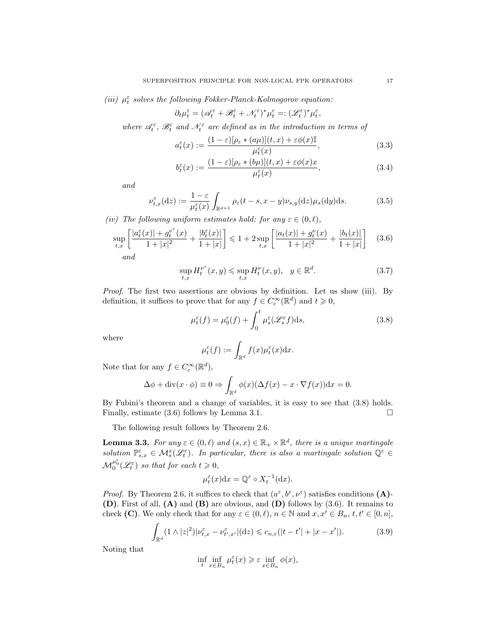(iii)  $\mu_t^{\varepsilon}$  solves the following Fokker-Planck-Kolmogorov equation:

$$
\partial_t \mu^\varepsilon_t = (\mathscr{A}_t^\varepsilon + \mathscr{B}_t^\varepsilon + \mathscr{N}_t^\varepsilon)^* \mu^\varepsilon_t =: (\mathscr{L}_t^\varepsilon)^* \mu^\varepsilon_t,
$$

where  $\mathscr{A}_{t}^{\varepsilon}$ ,  $\mathscr{B}_{t}^{\varepsilon}$  and  $\mathscr{N}_{t}^{\varepsilon}$  are defined as in the introduction in terms of

$$
a_t^{\varepsilon}(x) := \frac{(1 - \varepsilon)[\rho_{\varepsilon} * (a\mu)](t, x) + \varepsilon \phi(x)\mathbb{I}}{\mu_t^{\varepsilon}(x)},
$$
(3.3)

<span id="page-16-4"></span>
$$
b_{t}^{\varepsilon}(x) := \frac{(1 - \varepsilon)[\rho_{\varepsilon} * (b\mu)](t, x) + \varepsilon \phi(x)x}{\mu_{t}^{\varepsilon}(x)},
$$
\n(3.4)

and

$$
\nu_{t,x}^{\varepsilon}(\mathrm{d}z) := \frac{1-\varepsilon}{\mu_t^{\varepsilon}(x)} \int_{\mathbb{R}^{d+1}} \rho_{\varepsilon}(t-s, x-y) \nu_{s,y}(\mathrm{d}z) \mu_s(\mathrm{d}y) \mathrm{d}s. \tag{3.5}
$$

(iv) The following uniform estimates hold: for any  $\varepsilon \in (0, \ell)$ ,

$$
\sup_{t,x} \left[ \frac{|a_t^{\varepsilon}(x)| + g_t^{\nu^{\varepsilon}}(x)}{1+|x|^2} + \frac{|b_t^{\varepsilon}(x)|}{1+|x|} \right] \leq 1 + 2 \sup_{t,x} \left[ \frac{|a_t(x)| + g_t^{\nu}(x)}{1+|x|^2} + \frac{|b_t(x)|}{1+|x|} \right] \tag{3.6}
$$

and

<span id="page-16-1"></span>
$$
\sup_{t,x} H_t^{\nu^{\varepsilon}}(x,y) \leq \sup_{t,x} H_t^{\nu}(x,y), \quad y \in \mathbb{R}^d.
$$
\n(3.7)

Proof. The first two assertions are obvious by definition. Let us show (iii). By definition, it suffices to prove that for any  $f \in C_c^{\infty}(\mathbb{R}^d)$  and  $t \geq 0$ ,

<span id="page-16-3"></span>
$$
\mu_t^{\varepsilon}(f) = \mu_0^{\varepsilon}(f) + \int_0^t \mu_s^{\varepsilon}(\mathscr{L}_s^{\varepsilon} f) \mathrm{d}s,\tag{3.8}
$$

where

<span id="page-16-0"></span>
$$
\mu_t^{\varepsilon}(f) := \int_{\mathbb{R}^d} f(x) \mu_t^{\varepsilon}(x) \mathrm{d} x.
$$

Note that for any  $f \in C_c^{\infty}(\mathbb{R}^d)$ ,

r

$$
\Delta \phi + \text{div}(x \cdot \phi) \equiv 0 \Rightarrow \int_{\mathbb{R}^d} \phi(x) (\Delta f(x) - x \cdot \nabla f(x)) \, dx = 0.
$$

By Fubini's theorem and a change of variables, it is easy to see that [\(3.8\)](#page-16-0) holds. Finally, estimate  $(3.6)$  follows by Lemma [3.1.](#page-14-2)

The following result follows by Theorem [2.6.](#page-12-0)

**Lemma 3.3.** For any  $\varepsilon \in (0, \ell)$  and  $(s, x) \in \mathbb{R}_+ \times \mathbb{R}^d$ , there is a unique martingale solution  $\mathbb{P}_{s,x}^{\varepsilon} \in \mathcal{M}_s^x(\mathscr{L}_t^{\varepsilon})$ . In particular, there is also a martingale solution  $\mathbb{Q}^{\varepsilon} \in$  $\mathcal{M}_0^{\mu_0^{\varepsilon}}(\mathscr{L}_t^{\varepsilon})$  so that for each  $t\geqslant 0$ ,

<span id="page-16-2"></span>
$$
\mu_t^{\varepsilon}(x)dx = \mathbb{Q}^{\varepsilon} \circ X_t^{-1}(\mathrm{d}x).
$$

*Proof.* By Theorem [2.6,](#page-12-0) it suffices to check that  $(a^{\varepsilon}, b^{\varepsilon}, \nu^{\varepsilon})$  satisfies conditions (A)-(D). First of all, (A) and (B) are obvious, and (D) follows by [\(3.6\)](#page-16-1). It remains to check (C). We only check that for any  $\varepsilon \in (0, \ell), n \in \mathbb{N}$  and  $x, x' \in B_n, t, t' \in [0, n],$ 

$$
\int_{\mathbb{R}^d} (1 \wedge |z|^2) |\nu_{t,x}^{\varepsilon} - \nu_{t',x'}^{\varepsilon}| (dz) \leqslant c_{n,\varepsilon} (|t-t'| + |x-x'|). \tag{3.9}
$$

Noting that

$$
\inf_t \inf_{x \in B_n} \mu_t^{\varepsilon}(x) \geqslant \varepsilon \inf_{x \in B_n} \phi(x),
$$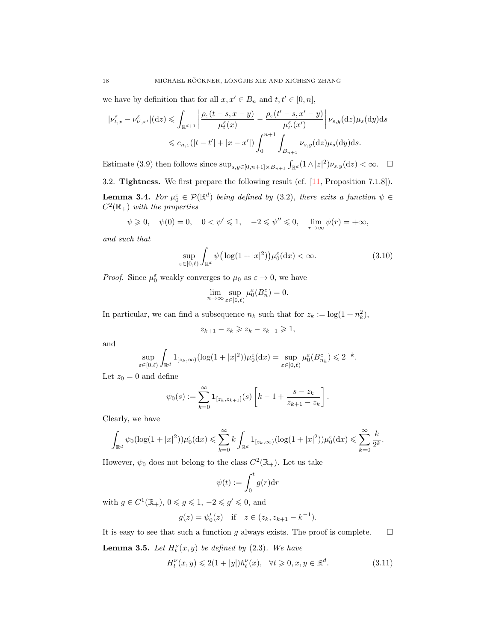we have by definition that for all  $x, x' \in B_n$  and  $t, t' \in [0, n],$ 

$$
|\nu_{t,x}^{\varepsilon} - \nu_{t',x'}^{\varepsilon}|(\mathrm{d}z) \leq \int_{\mathbb{R}^{d+1}} \left| \frac{\rho_{\varepsilon}(t-s, x-y)}{\mu_t^{\varepsilon}(x)} - \frac{\rho_{\varepsilon}(t'-s, x'-y)}{\mu_{t'}^{\varepsilon}(x')} \right| \nu_{s,y}(\mathrm{d}z) \mu_s(\mathrm{d}y) \mathrm{d}s
$$
  

$$
\leq c_{n,\varepsilon}(|t-t'| + |x-x'|) \int_0^{n+1} \int_{B_{n+1}} \nu_{s,y}(\mathrm{d}z) \mu_s(\mathrm{d}y) \mathrm{d}s.
$$

Estimate [\(3.9\)](#page-16-2) then follows since  $\sup_{s,y\in[0,n+1]\times B_{n+1}} \int_{\mathbb{R}^d} (1\wedge |z|^2) \nu_{s,y}(\mathrm{d}z) < \infty$ .  $\Box$ 

<span id="page-17-0"></span>3.2. Tightness. We first prepare the following result (cf. [\[11,](#page-26-5) Proposition 7.1.8]).

<span id="page-17-1"></span>**Lemma 3.4.** For  $\mu_0^{\varepsilon} \in \mathcal{P}(\mathbb{R}^d)$  being defined by [\(3.2\)](#page-15-1), there exits a function  $\psi \in$  $C^2(\mathbb{R}_+)$  with the properties

$$
\psi \ge 0
$$
,  $\psi(0) = 0$ ,  $0 < \psi' \le 1$ ,  $-2 \le \psi'' \le 0$ ,  $\lim_{r \to \infty} \psi(r) = +\infty$ ,

and such that

$$
\sup_{\varepsilon \in [0,\ell)} \int_{\mathbb{R}^d} \psi\big(\log(1+|x|^2)\big) \mu_0^{\varepsilon}(\mathrm{d}x) < \infty. \tag{3.10}
$$

*Proof.* Since  $\mu_0^{\varepsilon}$  weakly converges to  $\mu_0$  as  $\varepsilon \to 0$ , we have

<span id="page-17-2"></span>
$$
\lim_{n\to\infty}\sup_{\varepsilon\in[0,\ell)}\mu^\varepsilon_0(B_n^c)=0.
$$

In particular, we can find a subsequence  $n_k$  such that for  $z_k := \log(1 + n_k^2)$ ,

$$
z_{k+1} - z_k \geq z_k - z_{k-1} \geq 1,
$$

and

$$
\sup_{\varepsilon \in [0,\ell)} \int_{\mathbb{R}^d} 1_{[z_k,\infty)} (\log(1+|x|^2)) \mu_0^{\varepsilon}(\mathrm{d}x) = \sup_{\varepsilon \in [0,\ell)} \mu_0^{\varepsilon}(\overline{B}_{n_k}^c) \leq 2^{-k}.
$$

Let  $z_0 = 0$  and define

$$
\psi_0(s) := \sum_{k=0}^{\infty} \mathbf{1}_{[z_k, z_{k+1}]}(s) \left[ k - 1 + \frac{s - z_k}{z_{k+1} - z_k} \right].
$$

Clearly, we have

$$
\int_{\mathbb{R}^d} \psi_0(\log(1+|x|^2))\mu_0^{\varepsilon}(\mathrm{d}x) \leqslant \sum_{k=0}^{\infty} k \int_{\mathbb{R}^d} 1_{[z_k,\infty)}(\log(1+|x|^2))\mu_0^{\varepsilon}(\mathrm{d}x) \leqslant \sum_{k=0}^{\infty} \frac{k}{2^k}.
$$

However,  $\psi_0$  does not belong to the class  $C^2(\mathbb{R}_+)$ . Let us take

<span id="page-17-3"></span>
$$
\psi(t):=\int_0^t g(r)\mathrm{d} r
$$

with  $g \in C^1(\mathbb{R}_+), 0 \leqslant g \leqslant 1, -2 \leqslant g' \leqslant 0$ , and

$$
g(z) = \psi'_0(z)
$$
 if  $z \in (z_k, z_{k+1} - k^{-1}).$ 

It is easy to see that such a function g always exists. The proof is complete.  $\Box$ 

**Lemma 3.5.** Let  $H_t^{\nu}(x, y)$  be defined by [\(2.3\)](#page-10-2). We have

$$
H_t^{\nu}(x, y) \leq 2(1+|y|)\hbar_t^{\nu}(x), \quad \forall t \geq 0, x, y \in \mathbb{R}^d.
$$
 (3.11)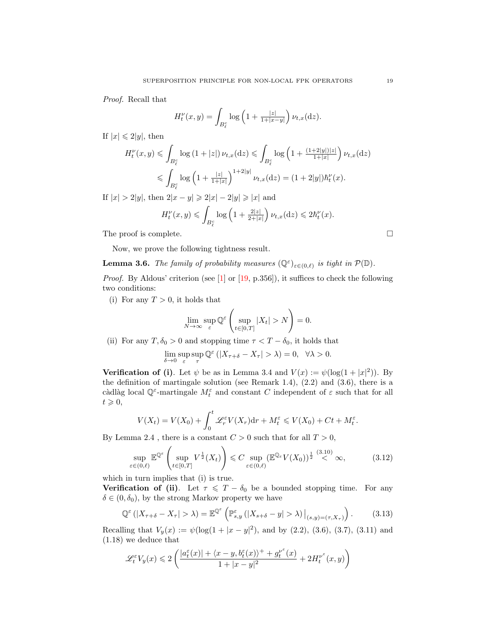Proof. Recall that

$$
H_t^{\nu}(x,y) = \int_{B_{\ell}^c} \log\left(1 + \frac{|z|}{1+|x-y|}\right) \nu_{t,x}(\mathrm{d}z).
$$

If  $|x| \leq 2|y|$ , then

$$
H_t^{\nu}(x, y) \leqslant \int_{B_\ell^c} \log\left(1+|z|\right) \nu_{t, x}(\mathrm{d}z) \leqslant \int_{B_\ell^c} \log\left(1+\frac{(1+2|y|)|z|}{1+|x|}\right) \nu_{t, x}(\mathrm{d}z)
$$
  

$$
\leqslant \int_{B_\ell^c} \log\left(1+\frac{|z|}{1+|x|}\right)^{1+2|y|} \nu_{t, x}(\mathrm{d}z) = (1+2|y|)h_t^{\nu}(x).
$$

If  $|x| > 2|y|$ , then  $2|x - y| \ge 2|x| - 2|y| \ge |x|$  and

$$
H_t^{\nu}(x,y) \leqslant \int_{B_{\ell}^c} \log\left(1+\tfrac{2|z|}{2+|x|}\right)\nu_{t,x}(\mathrm{d} z) \leqslant 2\hbar_t^{\nu}(x).
$$

The proof is complete.

Now, we prove the following tightness result.

# <span id="page-18-2"></span>**Lemma 3.6.** The family of probability measures  $(\mathbb{Q}^{\varepsilon})_{\varepsilon \in (0,\ell)}$  is tight in  $\mathcal{P}(\mathbb{D})$ .

*Proof.* By Aldous' criterion (see [\[1\]](#page-25-4) or [\[19,](#page-26-24) p.356]), it suffices to check the following two conditions:

(i) For any  $T > 0$ , it holds that

$$
\lim_{N \to \infty} \sup_{\varepsilon} \mathbb{Q}^{\varepsilon} \left( \sup_{t \in [0,T]} |X_t| > N \right) = 0.
$$

(ii) For any  $T, \delta_0 > 0$  and stopping time  $\tau < T - \delta_0$ , it holds that

$$
\lim_{\delta\to 0}\sup_\varepsilon\sup_\tau \mathbb{Q}^\varepsilon\left( |X_{\tau+\delta}-X_\tau|>\lambda\right)=0,\ \ \forall \lambda>0.
$$

**Verification of (i)**. Let  $\psi$  be as in Lemma [3.4](#page-17-1) and  $V(x) := \psi(\log(1+|x|^2))$ . By the definition of martingale solution (see Remark [1.4\)](#page-4-2),  $(2.2)$  and  $(3.6)$ , there is a càdlàg local  $\mathbb{Q}^{\varepsilon}$ -martingale  $M_t^{\varepsilon}$  and constant  $C$  independent of  $\varepsilon$  such that for all  $t \geqslant 0$ ,

$$
V(X_t) = V(X_0) + \int_0^t \mathcal{L}_r^{\varepsilon} V(X_r) dr + M_t^{\varepsilon} \leqslant V(X_0) + Ct + M_t^{\varepsilon}.
$$

By Lemma [2.4](#page-11-1), there is a constant  $C > 0$  such that for all  $T > 0$ ,

$$
\sup_{\varepsilon \in (0,\ell)} \mathbb{E}^{\mathbb{Q}^{\varepsilon}} \left( \sup_{t \in [0,T]} V^{\frac{1}{2}}(X_t) \right) \leqslant C \sup_{\varepsilon \in (0,\ell)} (\mathbb{E}^{\mathbb{Q}_{\varepsilon}} V(X_0))^{\frac{1}{2}} \stackrel{(3.10)}{<} \infty, \tag{3.12}
$$

which in turn implies that (i) is true.

**Verification of (ii).** Let  $\tau \leq T - \delta_0$  be a bounded stopping time. For any  $\delta \in (0,\delta_0),$  by the strong Markov property we have

$$
\mathbb{Q}^{\varepsilon} \left( \left| X_{\tau+\delta} - X_{\tau} \right| > \lambda \right) = \mathbb{E}^{\mathbb{Q}^{\varepsilon}} \left( \mathbb{P}_{s,y}^{\varepsilon} \left( \left| X_{s+\delta} - y \right| > \lambda \right) \Big|_{(s,y)=(\tau,X_{\tau})} \right). \tag{3.13}
$$

Recalling that  $V_y(x) := \psi(\log(1+|x-y|^2))$ , and by [\(2.2\)](#page-10-1), [\(3.6\)](#page-16-1), [\(3.7\)](#page-16-3), [\(3.11\)](#page-17-3) and [\(1.18\)](#page-5-1) we deduce that

<span id="page-18-0"></span>
$$
\mathscr{L}_t^\varepsilon V_y(x)\leqslant 2\left(\frac{|a_t^\varepsilon(x)|+\langle x-y,b_t^\varepsilon(x)\rangle^++g_t^{\nu^\varepsilon}(x)}{1+|x-y|^2}+2H_t^{\nu^\varepsilon}(x,y)\right)
$$

<span id="page-18-1"></span>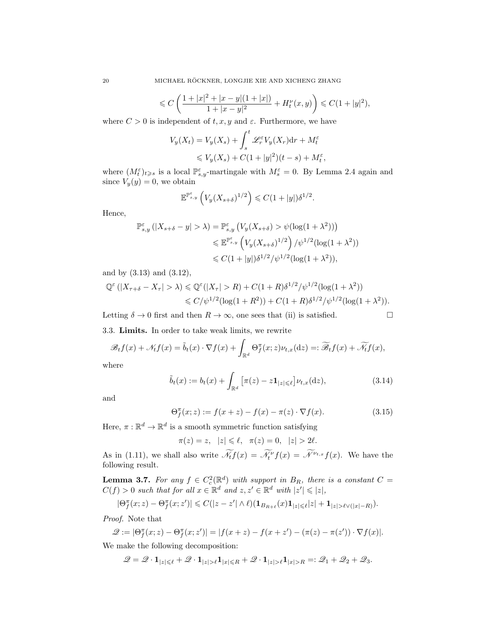$$
\leqslant C\left(\frac{1+|x|^2+|x-y|(1+|x|)}{1+|x-y|^2}+H_t^\nu(x,y)\right)\leqslant C(1+|y|^2),
$$

where  $C > 0$  is independent of  $t, x, y$  and  $\varepsilon$ . Furthermore, we have

$$
V_y(X_t) = V_y(X_s) + \int_s^t \mathcal{L}_r^{\varepsilon} V_y(X_r) dr + M_t^{\varepsilon}
$$
  

$$
\leq V_y(X_s) + C(1+|y|^2)(t-s) + M_t^{\varepsilon},
$$

where  $(M_t^{\varepsilon})_{t\geq s}$  is a local  $\mathbb{P}_{s,y}^{\varepsilon}$ -martingale with  $M_s^{\varepsilon} = 0$ . By Lemma [2.4](#page-11-1) again and since  $V_y(y) = 0$ , we obtain

$$
\mathbb{E}^{\mathbb{P}^{\varepsilon}_{s,y}}\left(V_y(X_{s+\delta})^{1/2}\right) \leqslant C(1+|y|)\delta^{1/2}.
$$

Hence,

$$
\mathbb{P}_{s,y}^{\varepsilon}(|X_{s+\delta} - y| > \lambda) = \mathbb{P}_{s,y}^{\varepsilon} (V_y(X_{s+\delta}) > \psi(\log(1 + \lambda^2)))
$$
  

$$
\leq \mathbb{E}^{\mathbb{P}_{s,y}^{\varepsilon}} \left( V_y(X_{s+\delta})^{1/2} \right) / \psi^{1/2}(\log(1 + \lambda^2))
$$
  

$$
\leq C(1+|y|)\delta^{1/2}/\psi^{1/2}(\log(1 + \lambda^2)),
$$

and by [\(3.13\)](#page-18-0) and [\(3.12\)](#page-18-1),

$$
\mathbb{Q}^{\varepsilon}(|X_{\tau+\delta}-X_{\tau}|>\lambda) \leq \mathbb{Q}^{\varepsilon}(|X_{\tau}|>R) + C(1+R)\delta^{1/2}/\psi^{1/2}(\log(1+\lambda^2))
$$
  

$$
\leq C/\psi^{1/2}(\log(1+R^2)) + C(1+R)\delta^{1/2}/\psi^{1/2}(\log(1+\lambda^2)).
$$

Letting  $\delta \to 0$  first and then  $R \to \infty$ , one sees that (ii) is satisfied.

<span id="page-19-3"></span><span id="page-19-1"></span>

<span id="page-19-0"></span>3.3. Limits. In order to take weak limits, we rewrite

$$
\mathscr{B}_t f(x) + \mathscr{N}_t f(x) = \tilde{b}_t(x) \cdot \nabla f(x) + \int_{\mathbb{R}^d} \Theta_f^{\pi}(x; z) \nu_{t,x}(\mathrm{d}z) =: \widetilde{\mathscr{B}}_t f(x) + \widetilde{\mathscr{N}}_t f(x),
$$

where

$$
\tilde{b}_t(x) := b_t(x) + \int_{\mathbb{R}^d} \left[ \pi(z) - z \mathbf{1}_{|z| \leq \ell} \right] \nu_{t,x}(\mathrm{d}z),\tag{3.14}
$$

and

$$
\Theta_f^{\pi}(x; z) := f(x + z) - f(x) - \pi(z) \cdot \nabla f(x).
$$
 (3.15)

Here,  $\pi : \mathbb{R}^d \to \mathbb{R}^d$  is a smooth symmetric function satisfying

 $\pi(z) = z, \ |z| \leq \ell, \ \pi(z) = 0, \ |z| > 2\ell.$ 

As in [\(1.11\)](#page-3-0), we shall also write  $\mathcal{N}_t f(x) = \mathcal{N}^{\nu} f(x) = \mathcal{N}^{\nu_{t,x}} f(x)$ . We have the following result.

<span id="page-19-2"></span>**Lemma 3.7.** For any  $f \in C_c^2(\mathbb{R}^d)$  with support in  $B_R$ , there is a constant  $C =$  $C(f) > 0$  such that for all  $x \in \mathbb{R}^d$  and  $z, z' \in \mathbb{R}^d$  with  $|z'| \leq |z|$ ,

$$
|\Theta^\pi_f(x;z)-\Theta^\pi_f(x;z')|\leqslant C(|z-z'|\wedge\ell)(\mathbf{1}_{B_{R+\ell}}(x)\mathbf{1}_{|z|\leqslant \ell}|z|+\mathbf{1}_{|z|>\ell\vee(|x|-R)}).
$$

Proof. Note that

$$
\mathcal{Q} := |\Theta_f^{\pi}(x; z) - \Theta_f^{\pi}(x; z')| = |f(x + z) - f(x + z') - (\pi(z) - \pi(z')) \cdot \nabla f(x)|.
$$

We make the following decomposition:

$$
\mathscr{Q} = \mathscr{Q} \cdot \mathbf{1}_{|z| \leqslant \ell} + \mathscr{Q} \cdot \mathbf{1}_{|z| > \ell} \mathbf{1}_{|x| \leqslant R} + \mathscr{Q} \cdot \mathbf{1}_{|z| > \ell} \mathbf{1}_{|x| > R} =: \mathscr{Q}_1 + \mathscr{Q}_2 + \mathscr{Q}_3.
$$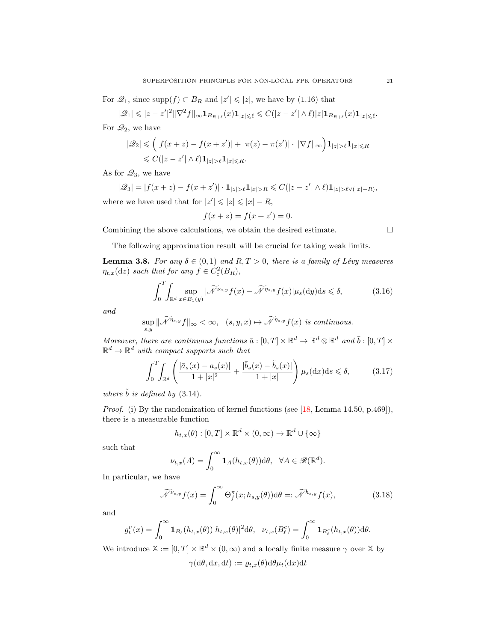For  $\mathcal{Q}_1$ , since supp $(f) \subset B_R$  and  $|z'| \leqslant |z|$ , we have by [\(1.16\)](#page-3-6) that

$$
|\mathscr{Q}_1| \leqslant |z-z'|^2 \|\nabla^2 f\|_\infty \mathbf{1}_{B_{R+\ell}}(x)\mathbf{1}_{|z|\leqslant \ell} \leqslant C(|z-z'| \wedge \ell) |z| \mathbf{1}_{B_{R+\ell}}(x)\mathbf{1}_{|z|\leqslant \ell}.
$$

For  $\mathcal{Q}_2$ , we have

$$
|\mathcal{Q}_2| \leq (|f(x+z) - f(x+z')| + |\pi(z) - \pi(z')| \cdot ||\nabla f||_{\infty}) \mathbf{1}_{|z| > \ell} \mathbf{1}_{|x| \leq R}
$$
  

$$
\leq C(|z-z'| \wedge \ell) \mathbf{1}_{|z| > \ell} \mathbf{1}_{|x| \leq R}.
$$

As for  $\mathcal{Q}_3$ , we have

$$
|\mathcal{Q}_3| = |f(x+z) - f(x+z')| \cdot \mathbf{1}_{|z| > \ell} \mathbf{1}_{|x| > R} \le C(|z-z'| \wedge \ell) \mathbf{1}_{|z| > \ell \vee (|x|-R)},
$$
  
where we have used that for  $|z'| \le |z| \le |x| - R$ ,

$$
f(x + z) = f(x + z') = 0.
$$

Combining the above calculations, we obtain the desired estimate.  $\Box$ 

<span id="page-20-3"></span><span id="page-20-1"></span>

The following approximation result will be crucial for taking weak limits.

<span id="page-20-2"></span>**Lemma 3.8.** For any  $\delta \in (0,1)$  and  $R, T > 0$ , there is a family of Lévy measures  $\eta_{t,x}(\mathrm{d}z)$  such that for any  $f \in C_c^2(B_R)$ ,

$$
\int_0^T \int_{\mathbb{R}^d} \sup_{x \in B_1(y)} |\widetilde{\mathcal{N}}^{\nu_{s,y}} f(x) - \widetilde{\mathcal{N}}^{\eta_{s,y}} f(x)| \mu_s(dy) ds \leq \delta,
$$
 (3.16)

and

$$
\sup_{s,y} \|\widetilde{\mathcal{N}}^{\eta_{s,y}}f\|_{\infty} < \infty, \quad (s,y,x) \mapsto \widetilde{\mathcal{N}}^{\eta_{s,y}}f(x) \text{ is continuous.}
$$

Moreover, there are continuous functions  $\bar{a} : [0, T] \times \mathbb{R}^d \to \mathbb{R}^d \otimes \mathbb{R}^d$  and  $\bar{b} : [0, T] \times$  $\mathbb{R}^d \to \mathbb{R}^d$  with compact supports such that

$$
\int_0^T \int_{\mathbb{R}^d} \left( \frac{|\bar{a}_s(x) - a_s(x)|}{1 + |x|^2} + \frac{|\bar{b}_s(x) - \tilde{b}_s(x)|}{1 + |x|} \right) \mu_s(\mathrm{d}x) \mathrm{d}s \le \delta,\tag{3.17}
$$

where  $\tilde{b}$  is defined by [\(3.14\)](#page-19-1).

Proof. (i) By the randomization of kernel functions (see [\[18,](#page-26-25) Lemma 14.50, p.469]), there is a measurable function

<span id="page-20-0"></span>
$$
h_{t,x}(\theta) : [0,T] \times \mathbb{R}^d \times (0,\infty) \to \mathbb{R}^d \cup \{\infty\}
$$

such that

$$
\nu_{t,x}(A) = \int_0^\infty \mathbf{1}_A(h_{t,x}(\theta)) \mathrm{d}\theta, \ \ \forall A \in \mathscr{B}(\mathbb{R}^d).
$$

In particular, we have

$$
\widetilde{\mathcal{N}}^{\nu_{s,y}}f(x) = \int_0^\infty \Theta_f^\pi(x; h_{s,y}(\theta)) \mathrm{d}\theta =: \widetilde{\mathcal{N}}^{h_{s,y}}f(x),\tag{3.18}
$$

and

$$
g_t^{\nu}(x) = \int_0^{\infty} \mathbf{1}_{B_{\ell}}(h_{t,x}(\theta)) |h_{t,x}(\theta)|^2 d\theta, \quad \nu_{t,x}(B_{\ell}^c) = \int_0^{\infty} \mathbf{1}_{B_{\ell}^c}(h_{t,x}(\theta)) d\theta.
$$

We introduce  $\mathbb{X} := [0, T] \times \mathbb{R}^d \times (0, \infty)$  and a locally finite measure  $\gamma$  over  $\mathbb{X}$  by  $\gamma(\mathrm{d}\theta, \mathrm{d}x, \mathrm{d}t) := \rho_{t,x}(\theta) \mathrm{d}\theta \mu_t(\mathrm{d}x) \mathrm{d}t$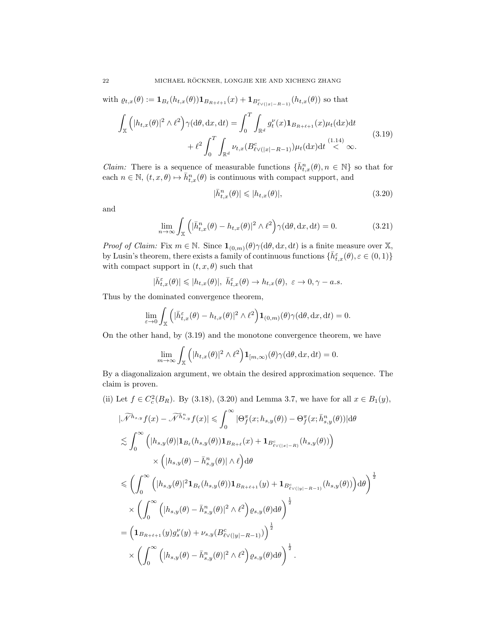with 
$$
\varrho_{t,x}(\theta) := \mathbf{1}_{B_{\ell}}(h_{t,x}(\theta))\mathbf{1}_{B_{R+\ell+1}}(x) + \mathbf{1}_{B_{\ell \vee (\lfloor x \rfloor - R - 1)}^c}(h_{t,x}(\theta)) \text{ so that}
$$

$$
\int_{\mathbb{X}} \left( |h_{t,x}(\theta)|^2 \wedge \ell^2 \right) \gamma(\mathrm{d}\theta, \mathrm{d}x, \mathrm{d}t) = \int_0^T \int_{\mathbb{R}^d} g_t^{\nu}(x) \mathbf{1}_{B_{R+\ell+1}}(x) \mu_t(\mathrm{d}x) \mathrm{d}t
$$

$$
+ \ell^2 \int_0^T \int_{\mathbb{R}^d} \nu_{t,x} (B_{\ell \vee (\lfloor x \rfloor - R - 1)}^c) \mu_t(\mathrm{d}x) \mathrm{d}t \stackrel{(1.14)}{<} \infty.
$$
 (3.19)

*Claim:* There is a sequence of measurable functions  $\{\bar{h}_{t,x}^n(\theta), n \in \mathbb{N}\}\)$  so that for each  $n \in \mathbb{N}$ ,  $(t, x, \theta) \mapsto \bar{h}_{t, x}^n(\theta)$  is continuous with compact support, and

<span id="page-21-2"></span><span id="page-21-1"></span><span id="page-21-0"></span>
$$
|\bar{h}_{t,x}^n(\theta)| \leqslant |h_{t,x}(\theta)|,\tag{3.20}
$$

and

$$
\lim_{n \to \infty} \int_{\mathbb{X}} \left( |\bar{h}_{t,x}^n(\theta) - h_{t,x}(\theta)|^2 \wedge \ell^2 \right) \gamma(\mathrm{d}\theta, \mathrm{d}x, \mathrm{d}t) = 0. \tag{3.21}
$$

*Proof of Claim:* Fix  $m \in \mathbb{N}$ . Since  $\mathbf{1}_{(0,m)}(\theta) \gamma(\mathrm{d}\theta, \mathrm{d}x, \mathrm{d}t)$  is a finite measure over X, by Lusin's theorem, there exists a family of continuous functions  $\{\bar{h}_{t,x}^{\varepsilon}(\theta), \varepsilon \in (0,1)\}\$ with compact support in  $(t, x, \theta)$  such that

$$
|\bar{h}^{\varepsilon}_{t,x}(\theta)|\leqslant |h_{t,x}(\theta)|, \,\, \bar{h}^{\varepsilon}_{t,x}(\theta)\rightarrow h_{t,x}(\theta), \,\, \varepsilon\rightarrow 0, \gamma-a.s.
$$

Thus by the dominated convergence theorem,

$$
\lim_{\varepsilon \to 0} \int_{\mathbb{X}} \left( |\bar{h}_{t,x}^{\varepsilon}(\theta) - h_{t,x}(\theta)|^2 \wedge \ell^2 \right) \mathbf{1}_{(0,m)}(\theta) \gamma(\mathrm{d}\theta, \mathrm{d}x, \mathrm{d}t) = 0.
$$

On the other hand, by [\(3.19\)](#page-21-0) and the monotone convergence theorem, we have

$$
\lim_{m\to\infty}\int_{\mathbb{X}}\left(|h_{t,x}(\theta)|^2\wedge\ell^2\right)\mathbf{1}_{[m,\infty)}(\theta)\gamma(\mathrm{d}\theta,\mathrm{d}x,\mathrm{d}t)=0.
$$

By a diagonalizaion argument, we obtain the desired approximation sequence. The claim is proven.

(ii) Let 
$$
f \in C_c^2(B_R)
$$
. By (3.18), (3.20) and Lemma 3.7, we have for all  $x \in B_1(y)$ ,

$$
\begin{split}\n|\widetilde{\mathcal{N}}^{h_{s,y}}f(x) - \widetilde{\mathcal{N}}^{\tilde{h}_{s,y}^{n}}f(x)| &\leq \int_{0}^{\infty} |\Theta_{f}^{\pi}(x; h_{s,y}(\theta)) - \Theta_{f}^{\pi}(x; \bar{h}_{s,y}^{n}(\theta))| d\theta \\
&\leq \int_{0}^{\infty} \left( |h_{s,y}(\theta)| \mathbf{1}_{B_{\ell}}(h_{s,y}(\theta)) \mathbf{1}_{B_{R+\ell}}(x) + \mathbf{1}_{B_{\ell \vee(|x|-R)}^{c}}(h_{s,y}(\theta)) \right) \\
&\times \left( |h_{s,y}(\theta) - \bar{h}_{s,y}^{n}(\theta)| \wedge \ell \right) d\theta \\
&\leq \left( \int_{0}^{\infty} \left( |h_{s,y}(\theta)|^{2} \mathbf{1}_{B_{\ell}}(h_{s,y}(\theta)) \mathbf{1}_{B_{R+\ell+1}}(y) + \mathbf{1}_{B_{\ell \vee(|y|-R-1)}^{c}}(h_{s,y}(\theta)) \right) d\theta \right)^{\frac{1}{2}} \\
&\times \left( \int_{0}^{\infty} \left( |h_{s,y}(\theta) - \bar{h}_{s,y}^{n}(\theta)|^{2} \wedge \ell^{2} \right) \varrho_{s,y}(\theta) d\theta \right)^{\frac{1}{2}} \\
&= \left( \mathbf{1}_{B_{R+\ell+1}}(y) g_{s}^{\nu}(y) + \nu_{s,y} (B_{\ell \vee(|y|-R-1)}^{c}) \right)^{\frac{1}{2}} \\
&\times \left( \int_{0}^{\infty} \left( |h_{s,y}(\theta) - \bar{h}_{s,y}^{n}(\theta)|^{2} \wedge \ell^{2} \right) \varrho_{s,y}(\theta) d\theta \right)^{\frac{1}{2}}.\n\end{split}
$$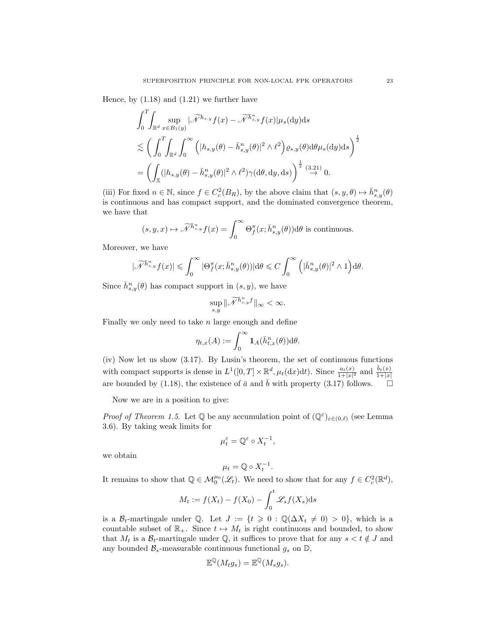Hence, by  $(1.18)$  and  $(1.21)$  we further have

$$
\int_0^T \int_{\mathbb{R}^d} \sup_{x \in B_1(y)} |\widetilde{\mathcal{N}}^{h_{s,y}} f(x) - \widetilde{\mathcal{N}}^{h_{s,y}} f(x)| \mu_s(dy) ds
$$
  

$$
\lesssim \left( \int_0^T \int_{\mathbb{R}^d} \int_0^\infty (|h_{s,y}(\theta) - \bar{h}_{s,y}^n(\theta)|^2 \wedge \ell^2) \varrho_{s,y}(\theta) d\theta \mu_s(dy) ds \right)^{\frac{1}{2}}
$$
  

$$
= \left( \int_{\mathbb{X}} (|h_{s,y}(\theta) - \bar{h}_{s,y}^n(\theta)|^2 \wedge \ell^2) \gamma(d\theta, dy, ds) \right)^{\frac{1}{2}} \stackrel{(3.21)}{\rightarrow} 0.
$$

(iii) For fixed  $n \in \mathbb{N}$ , since  $f \in C_c^2(B_R)$ , by the above claim that  $(s, y, \theta) \mapsto \bar{h}_{s,y}^n(\theta)$ is continuous and has compact support, and the dominated convergence theorem, we have that

$$
(s, y, x) \mapsto \widetilde{\mathcal{N}}^{\widetilde{h}^n_{s,y}} f(x) = \int_0^\infty \Theta_f^\pi(x; \overline{h}^n_{s,y}(\theta)) d\theta
$$
 is continuous.

Moreover, we have

$$
|\widetilde{\mathcal{N}}^{\hbar_{s,y}^{n}}f(x)|\leqslant \int_{0}^{\infty}|\Theta_{f}^{\pi}(x;\bar{h}_{s,y}^{n}(\theta))|\mathrm{d} \theta \leqslant C\int_{0}^{\infty}\Big(|\bar{h}_{s,y}^{n}(\theta)|^{2}\wedge 1\Big)\mathrm{d} \theta.
$$

Since  $\bar{h}_{s,y}^n(\theta)$  has compact support in  $(s, y)$ , we have

$$
\sup_{s,y}\|\widetilde{\mathscr{N}}^{\tilde{h}^n_{s,y}f}\|_\infty<\infty.
$$

Finally we only need to take  $n$  large enough and define

$$
\eta_{t,x}(A):=\int_0^\infty \mathbf{1}_A(\bar{h}_{t,x}^n(\theta))\mathrm{d} \theta.
$$

(iv) Now let us show [\(3.17\)](#page-20-1). By Lusin's theorem, the set of continuous functions with compact supports is dense in  $L^1([0,T] \times \mathbb{R}^d, \mu_t(\mathrm{d}x)\mathrm{d}t)$ . Since  $\frac{a_t(x)}{1+|x|^2}$  and  $\frac{\tilde{b}_t(x)}{1+|x|}$ are bounded by [\(1.18\)](#page-5-1), the existence of  $\bar{a}$  and  $\bar{b}$  with property [\(3.17\)](#page-20-1) follows.

Now we are in a position to give:

*Proof of Theorem [1.5.](#page-5-0)* Let  $\mathbb{Q}$  be any accumulation point of  $(\mathbb{Q}^{\varepsilon})_{\varepsilon \in (0,\ell)}$  (see Lemma [3.6\)](#page-18-2). By taking weak limits for

$$
\mu^\varepsilon_t = \mathbb{Q}^\varepsilon \circ X^{-1}_t,
$$

we obtain

$$
\mu_t = \mathbb{Q} \circ X_t^{-1}.
$$

It remains to show that  $\mathbb{Q} \in \mathcal{M}_{0}^{\mu_{0}}(\mathscr{L}_{t})$ . We need to show that for any  $f \in C_{c}^{2}(\mathbb{R}^{d}),$ 

$$
M_t := f(X_t) - f(X_0) - \int_0^t \mathcal{L}_s f(X_s) \mathrm{d} s
$$

is a  $\mathcal{B}_t$ -martingale under Q. Let  $J := \{t \geq 0 : \mathbb{Q}(\Delta X_t \neq 0) > 0\}$ , which is a countable subset of  $\mathbb{R}_+$ . Since  $t \mapsto M_t$  is right continuous and bounded, to show that  $M_t$  is a  $\mathcal{B}_t$ -martingale under Q, it suffices to prove that for any  $s < t \notin J$  and any bounded  $\mathcal{B}_s$ -measurable continuous functional  $g_s$  on  $\mathbb{D}$ ,

$$
\mathbb{E}^{\mathbb{Q}}(M_t g_s) = \mathbb{E}^{\mathbb{Q}}(M_s g_s).
$$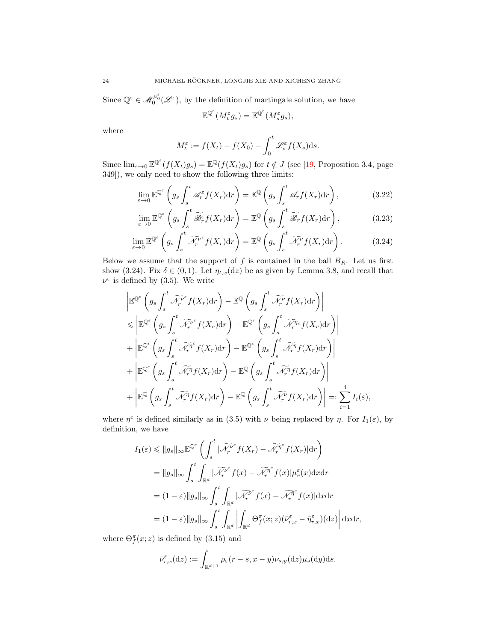Since  $\mathbb{Q}^{\varepsilon} \in \mathcal{M}_0^{\mu_0^{\varepsilon}}(\mathcal{L}^{\varepsilon})$ , by the definition of martingale solution, we have

<span id="page-23-2"></span><span id="page-23-1"></span><span id="page-23-0"></span>
$$
\mathbb{E}^{\mathbb{Q}^{\varepsilon}}(M_t^{\varepsilon}g_s) = \mathbb{E}^{\mathbb{Q}^{\varepsilon}}(M_s^{\varepsilon}g_s),
$$

where

$$
M_t^{\varepsilon} := f(X_t) - f(X_0) - \int_0^t \mathcal{L}_s^{\varepsilon} f(X_s) \mathrm{d} s.
$$

Since  $\lim_{\varepsilon\to 0} \mathbb{E}^{\mathbb{Q}^{\varepsilon}}(f(X_t)g_s) = \mathbb{E}^{\mathbb{Q}}(f(X_t)g_s)$  for  $t \notin J$  (see [\[19,](#page-26-24) Proposition 3.4, page 349]), we only need to show the following three limits:

$$
\lim_{\varepsilon \to 0} \mathbb{E}^{\mathbb{Q}^{\varepsilon}} \left( g_s \int_s^t \mathscr{A}_r^{\varepsilon} f(X_r) dr \right) = \mathbb{E}^{\mathbb{Q}} \left( g_s \int_s^t \mathscr{A}_r f(X_r) dr \right), \tag{3.22}
$$

$$
\lim_{\varepsilon \to 0} \mathbb{E}^{\mathbb{Q}^{\varepsilon}} \left( g_s \int_s^t \widetilde{\mathcal{B}}_r^{\varepsilon} f(X_r) dr \right) = \mathbb{E}^{\mathbb{Q}} \left( g_s \int_s^t \widetilde{\mathcal{B}}_r f(X_r) dr \right), \tag{3.23}
$$

$$
\lim_{\varepsilon \to 0} \mathbb{E}^{\mathbb{Q}^{\varepsilon}} \left( g_s \int_s^t \widetilde{\mathcal{N}_r^{\nu^{\varepsilon}}} f(X_r) dr \right) = \mathbb{E}^{\mathbb{Q}} \left( g_s \int_s^t \widetilde{\mathcal{N}_r^{\nu}} f(X_r) dr \right). \tag{3.24}
$$

Below we assume that the support of  $f$  is contained in the ball  $B_R$ . Let us first show [\(3.24\)](#page-23-0). Fix  $\delta \in (0,1)$ . Let  $\eta_{t,x}(\mathrm{d}z)$  be as given by Lemma [3.8,](#page-20-2) and recall that  $\nu^{\varepsilon}$  is defined by [\(3.5\)](#page-16-4). We write

$$
\begin{split}\n&\left|\mathbb{E}^{\mathbb{Q}^{\varepsilon}}\left(g_{s}\int_{s}^{t}\widetilde{\mathscr{N}}_{r}^{\nu^{\varepsilon}}f(X_{r})\mathrm{d}r\right)-\mathbb{E}^{\mathbb{Q}}\left(g_{s}\int_{s}^{t}\widetilde{\mathscr{N}}_{r}^{\nu}f(X_{r})\mathrm{d}r\right)\right| \\
&\leqslant \left|\mathbb{E}^{\mathbb{Q}^{\varepsilon}}\left(g_{s}\int_{s}^{t}\widetilde{\mathscr{N}}_{r}^{\nu^{\varepsilon}}f(X_{r})\mathrm{d}r\right)-\mathbb{E}^{\mathbb{Q}^{\varepsilon}}\left(g_{s}\int_{s}^{t}\widetilde{\mathscr{N}}_{r}^{\eta_{\varepsilon}}f(X_{r})\mathrm{d}r\right)\right| \\
&+\left|\mathbb{E}^{\mathbb{Q}^{\varepsilon}}\left(g_{s}\int_{s}^{t}\widetilde{\mathscr{N}}_{r}^{\eta^{\varepsilon}}f(X_{r})\mathrm{d}r\right)-\mathbb{E}^{\mathbb{Q}^{\varepsilon}}\left(g_{s}\int_{s}^{t}\widetilde{\mathscr{N}}_{r}^{\eta}f(X_{r})\mathrm{d}r\right)\right| \\
&+\left|\mathbb{E}^{\mathbb{Q}^{\varepsilon}}\left(g_{s}\int_{s}^{t}\widetilde{\mathscr{N}}_{r}^{\eta}f(X_{r})\mathrm{d}r\right)-\mathbb{E}^{\mathbb{Q}}\left(g_{s}\int_{s}^{t}\widetilde{\mathscr{N}}_{r}^{\eta}f(X_{r})\mathrm{d}r\right)\right| \\
&+\left|\mathbb{E}^{\mathbb{Q}}\left(g_{s}\int_{s}^{t}\widetilde{\mathscr{N}}_{r}^{\eta}f(X_{r})\mathrm{d}r\right)-\mathbb{E}^{\mathbb{Q}}\left(g_{s}\int_{s}^{t}\widetilde{\mathscr{N}}_{r}^{\nu^{\varepsilon}}f(X_{r})\mathrm{d}r\right)\right| =: \sum_{i=1}^{4}I_{i}(\varepsilon),\n\end{split}
$$

where  $\eta^{\varepsilon}$  is defined similarly as in [\(3.5\)](#page-16-4) with  $\nu$  being replaced by  $\eta$ . For  $I_1(\varepsilon)$ , by definition, we have

$$
I_1(\varepsilon) \leq \|g_s\|_{\infty} \mathbb{E}^{\mathbb{Q}^{\varepsilon}} \left( \int_s^t |\widetilde{\mathcal{N}}_r^{\nu^{\varepsilon}} f(X_r) - \widetilde{\mathcal{N}}_r^{\eta^{\varepsilon}} f(X_r)| dr \right)
$$
  
\n
$$
= \|g_s\|_{\infty} \int_s^t \int_{\mathbb{R}^d} |\widetilde{\mathcal{N}}_r^{\nu^{\varepsilon}} f(x) - \widetilde{\mathcal{N}}_r^{\eta^{\varepsilon}} f(x)| \mu_r^{\varepsilon}(x) dx dr
$$
  
\n
$$
= (1 - \varepsilon) \|g_s\|_{\infty} \int_s^t \int_{\mathbb{R}^d} |\widetilde{\mathcal{N}}_r^{\nu^{\varepsilon}} f(x) - \widetilde{\mathcal{N}}_r^{\eta^{\varepsilon}} f(x)| dx dr
$$
  
\n
$$
= (1 - \varepsilon) \|g_s\|_{\infty} \int_s^t \int_{\mathbb{R}^d} \left| \int_{\mathbb{R}^d} \Theta_f^{\pi}(x; z) (\bar{\nu}_{r,x}^{\varepsilon} - \bar{\eta}_{r,x}^{\varepsilon})(dz) \right| dx dr,
$$

where  $\Theta_f^{\pi}(x; z)$  is defined by [\(3.15\)](#page-19-3) and

$$
\bar{\nu}_{r,x}^{\varepsilon}(\mathrm{d}z) := \int_{\mathbb{R}^{d+1}} \rho_{\varepsilon}(r-s, x-y) \nu_{s,y}(\mathrm{d}z) \mu_{s}(\mathrm{d}y) \mathrm{d}s.
$$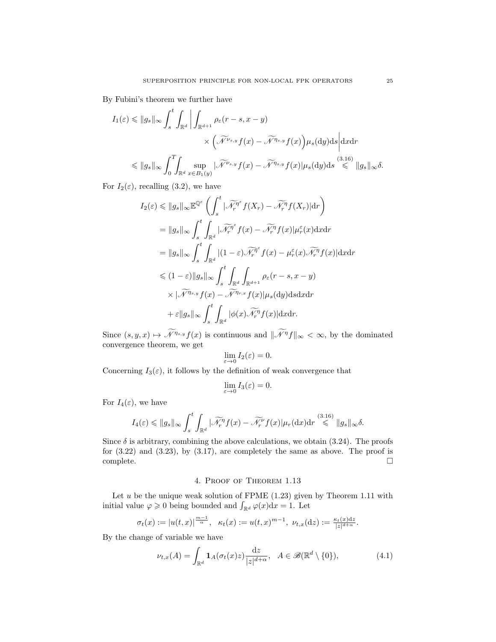By Fubini's theorem we further have

$$
I_1(\varepsilon) \leq ||g_s||_{\infty} \int_s^t \int_{\mathbb{R}^d} \left| \int_{\mathbb{R}^{d+1}} \rho_{\varepsilon}(r-s, x-y) \right|
$$
  
 
$$
\times \left( \widetilde{\mathcal{N}}^{\nu_{s,y}} f(x) - \widetilde{\mathcal{N}}^{\eta_{s,y}} f(x) \right) \mu_s(dy) ds \right| dx dr
$$
  
 
$$
\leq ||g_s||_{\infty} \int_0^T \int_{\mathbb{R}^d} \sup_{x \in B_1(y)} |\widetilde{\mathcal{N}}^{\nu_{s,y}} f(x) - \widetilde{\mathcal{N}}^{\eta_{s,y}} f(x)| \mu_s(dy) ds \stackrel{(3.16)}{\leq} ||g_s||_{\infty} \delta.
$$

For  $I_2(\varepsilon)$ , recalling [\(3.2\)](#page-15-1), we have

$$
I_2(\varepsilon) \leq \|g_s\|_{\infty} \mathbb{E}^{\mathbb{Q}^{\varepsilon}} \left( \int_s^t |\widetilde{\mathcal{N}}_r^{\eta^{\varepsilon}} f(X_r) - \widetilde{\mathcal{N}}_r^{\eta} f(X_r)| dr \right)
$$
  
\n
$$
= \|g_s\|_{\infty} \int_s^t \int_{\mathbb{R}^d} |\widetilde{\mathcal{N}}_r^{\eta^{\varepsilon}} f(x) - \widetilde{\mathcal{N}}_r^{\eta} f(x)| \mu_r^{\varepsilon}(x) dx dr
$$
  
\n
$$
= \|g_s\|_{\infty} \int_s^t \int_{\mathbb{R}^d} |(1-\varepsilon) \widetilde{\mathcal{N}}_r^{\eta^{\varepsilon}} f(x) - \mu_r^{\varepsilon}(x) \widetilde{\mathcal{N}}_r^{\eta} f(x)| dx dr
$$
  
\n
$$
\leq (1-\varepsilon) \|g_s\|_{\infty} \int_s^t \int_{\mathbb{R}^d} \int_{\mathbb{R}^{d+1}} \rho_{\varepsilon}(r-s, x-y)
$$
  
\n
$$
\times |\widetilde{\mathcal{N}}^{\eta_{s,y}} f(x) - \widetilde{\mathcal{N}}^{\eta_{r,x}} f(x)| \mu_s(dy) ds dr
$$
  
\n
$$
+ \varepsilon \|g_s\|_{\infty} \int_s^t \int_{\mathbb{R}^d} |\phi(x) \widetilde{\mathcal{N}}_r^{\eta} f(x)| dx dr.
$$

Since  $(s, y, x) \mapsto \widetilde{\mathcal{N}}^{\eta_{s,y}} f(x)$  is continuous and  $\|\widetilde{\mathcal{N}}^{\eta}f\|_{\infty} < \infty$ , by the dominated convergence theorem, we get

$$
\lim_{\varepsilon \to 0} I_2(\varepsilon) = 0.
$$

Concerning  $I_3(\varepsilon)$ , it follows by the definition of weak convergence that

$$
\lim_{\varepsilon \to 0} I_3(\varepsilon) = 0.
$$

For  $I_4(\varepsilon)$ , we have

$$
I_4(\varepsilon) \leqslant \|g_s\|_{\infty} \int_s^t \int_{\mathbb{R}^d} |\widetilde{\mathscr{N}}_r^\eta f(x) - \widetilde{\mathscr{N}}_r^\nu f(x)| \mu_r(\mathrm{d}x) \mathrm{d}r \stackrel{(3.16)}{\leqslant} \|g_s\|_{\infty} \delta.
$$

Since  $\delta$  is arbitrary, combining the above calculations, we obtain [\(3.24\)](#page-23-0). The proofs for  $(3.22)$  and  $(3.23)$ , by  $(3.17)$ , are completely the same as above. The proof is complete.

## <span id="page-24-1"></span>4. Proof of Theorem [1.13](#page-9-1)

<span id="page-24-0"></span>Let  $u$  be the unique weak solution of FPME  $(1.23)$  given by Theorem [1.11](#page-8-1) with initial value  $\varphi \geqslant 0$  being bounded and  $\int_{\mathbb{R}^d} \varphi(x) dx = 1$ . Let

$$
\sigma_t(x) := |u(t,x)|^{\frac{m-1}{\alpha}}, \quad \kappa_t(x) := u(t,x)^{m-1}, \quad \nu_{t,x}(\mathrm{d}z) := \frac{\kappa_t(x)\mathrm{d}z}{|z|^{d+\alpha}}.
$$

By the change of variable we have

$$
\nu_{t,x}(A) = \int_{\mathbb{R}^d} \mathbf{1}_A(\sigma_t(x)z) \frac{\mathrm{d}z}{|z|^{d+\alpha}}, \quad A \in \mathscr{B}(\mathbb{R}^d \setminus \{0\}),\tag{4.1}
$$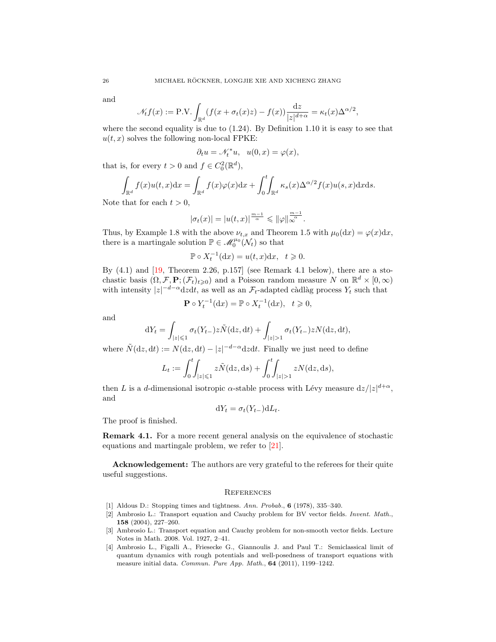and

$$
\mathcal{N}_t f(x) := \text{P.V.} \int_{\mathbb{R}^d} (f(x + \sigma_t(x)z) - f(x)) \frac{\mathrm{d}z}{|z|^{d+\alpha}} = \kappa_t(x) \Delta^{\alpha/2},
$$

where the second equality is due to  $(1.24)$ . By Definition [1.10](#page-8-2) it is easy to see that  $u(t, x)$  solves the following non-local FPKE:

$$
\partial_t u = \mathcal{N}_t^* u, \ \ u(0, x) = \varphi(x),
$$

that is, for every  $t > 0$  and  $f \in C_0^2(\mathbb{R}^d)$ ,

$$
\int_{\mathbb{R}^d} f(x)u(t,x)dx = \int_{\mathbb{R}^d} f(x)\varphi(x)dx + \int_0^t \int_{\mathbb{R}^d} \kappa_s(x)\Delta^{\alpha/2} f(x)u(s,x)dxds.
$$

Note that for each  $t > 0$ ,

$$
|\sigma_t(x)| = |u(t,x)|^{\frac{m-1}{\alpha}} \leqslant ||\varphi||_{\infty}^{\frac{m-1}{\alpha}}.
$$

Thus, by Example [1.8](#page-5-4) with the above  $\nu_{t,x}$  and Theorem [1.5](#page-5-0) with  $\mu_0(\mathrm{d}x) = \varphi(x)\mathrm{d}x$ , there is a martingale solution  $\mathbb{P} \in \mathcal{M}_0^{\mu_0}(\mathcal{N}_t)$  so that

$$
\mathbb{P}\circ X_t^{-1}(\mathrm{d}x)=u(t,x)\mathrm{d}x,\ \ t\geqslant 0.
$$

By  $(4.1)$  and  $[19,$  Theorem 2.26, p.157] (see Remark 4.1 below), there are a stochastic basis  $(\Omega, \mathcal{F}, \mathbf{P}; (\mathcal{F}_t)_{t \geq 0})$  and a Poisson random measure N on  $\mathbb{R}^d \times [0, \infty)$ with intensity  $|z|^{-d-\alpha} dz dt$ , as well as an  $\mathcal{F}_t$ -adapted càdlàg process  $Y_t$  such that

$$
\mathbf{P} \circ Y_t^{-1}(\mathrm{d}x) = \mathbb{P} \circ X_t^{-1}(\mathrm{d}x), \quad t \geq 0,
$$

and

$$
dY_t = \int_{|z| \leq 1} \sigma_t(Y_{t-}) z \tilde{N}(dz, dt) + \int_{|z| > 1} \sigma_t(Y_{t-}) z N(dz, dt),
$$

where  $\tilde{N}(dz, dt) := N(dz, dt) - |z|^{-d-\alpha} dz dt$ . Finally we just need to define

$$
L_t := \int_0^t \int_{|z| \le 1} z \tilde{N}(\mathrm{d}z, \mathrm{d}s) + \int_0^t \int_{|z| > 1} z N(\mathrm{d}z, \mathrm{d}s),
$$

then L is a d-dimensional isotropic  $\alpha$ -stable process with Lévy measure  $dz/|z|^{d+\alpha}$ , and

$$
dY_t = \sigma_t(Y_{t-})dL_t.
$$

The proof is finished.

Remark 4.1. For a more recent general analysis on the equivalence of stochastic equations and martingale problem, we refer to [\[21\]](#page-26-15).

Acknowledgement: The authors are very grateful to the referees for their quite useful suggestions.

#### <span id="page-25-0"></span>**REFERENCES**

- <span id="page-25-4"></span>[1] Aldous D.: Stopping times and tightness. Ann. Probab., 6 (1978), 335–340.
- <span id="page-25-1"></span>[2] Ambrosio L.: Transport equation and Cauchy problem for BV vector fields. Invent. Math., 158 (2004), 227–260.
- <span id="page-25-2"></span>[3] Ambrosio L.: Transport equation and Cauchy problem for non-smooth vector fields. Lecture Notes in Math. 2008. Vol. 1927, 2–41.
- <span id="page-25-3"></span>[4] Ambrosio L., Figalli A., Friesecke G., Giannoulis J. and Paul T.: Semiclassical limit of quantum dynamics with rough potentials and well-posedness of transport equations with measure initial data. Commun. Pure App. Math., 64 (2011), 1199–1242.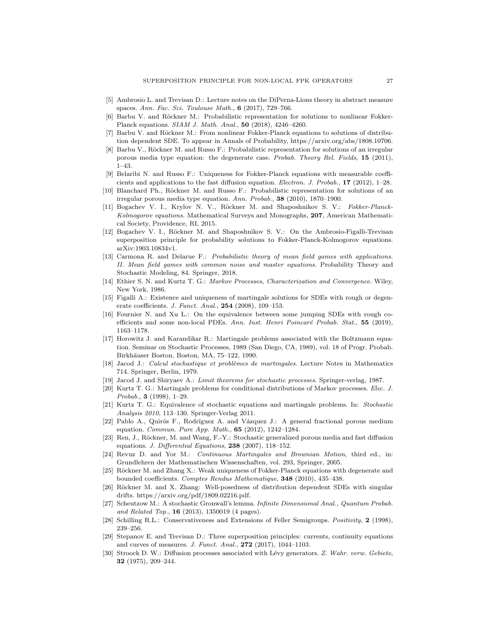- <span id="page-26-0"></span>[5] Ambrosio L. and Trevisan D.: Lecture notes on the DiPerna-Lions theory in abstract measure spaces. Ann. Fac. Sci. Toulouse Math., 6 (2017), 729-766.
- <span id="page-26-7"></span>[6] Barbu V. and Röckner M.: Probabilistic representation for solutions to nonlinear Fokker-Planck equations. SIAM J. Math. Anal., 50 (2018), 4246–4260.
- <span id="page-26-8"></span>[7] Barbu V. and Röckner M.: From nonlinear Fokker-Planck equations to solutions of distribution dependent SDE. To appear in Annals of Probability, https://arxiv.org/abs/1808.10706.
- <span id="page-26-16"></span>[8] Barbu V., Röckner M. and Russo F.: Probabilistic representation for solutions of an irregular porous media type equation: the degenerate case. Probab. Theory Rel. Fields, 15 (2011), 1–43.
- <span id="page-26-17"></span>[9] Belaribi N. and Russo F.: Uniqueness for Fokker-Planck equations with measurable coefficients and applications to the fast diffusion equation. Electron. J. Probab., 17 (2012), 1–28.
- <span id="page-26-20"></span>[10] Blanchard Ph., Röckner M. and Russo F.: Probabilistic representation for solutions of an irregular porous media type equation. Ann. Probab., 38 (2010), 1870–1900.
- <span id="page-26-5"></span>[11] Bogachev V. I., Krylov N. V., Röckner M. and Shaposhnikov S. V.: Fokker-Planck-Kolmogorov equations. Mathematical Surveys and Monographs, 207, American Mathematical Society, Providence, RI, 2015.
- <span id="page-26-4"></span>[12] Bogachev V. I., Röckner M. and Shaposhnikov S. V.: On the Ambrosio-Figalli-Trevisan superposition principle for probability solutions to Fokker-Planck-Kolmogorov equations. arXiv:1903.10834v1.
- <span id="page-26-21"></span>[13] Carmona R. and Delarue F.: Probabilistic theory of mean field games with applications. II. Mean field games with common noise and master equations. Probability Theory and Stochastic Modeling, 84. Springer, 2018.
- <span id="page-26-14"></span>[14] Ethier S. N. and Kurtz T. G.: Markov Processes, Characterization and Convergence. Wiley, New York, 1986.
- <span id="page-26-2"></span>[15] Figalli A.: Existence and uniqueness of martingale solutions for SDEs with rough or degenerate coefficients. J. Funct. Anal., 254 (2008), 109–153.
- <span id="page-26-12"></span>[16] Fournier N. and Xu L.: On the equivalence between some jumping SDEs with rough coefficients and some non-local PDEs. Ann. Inst. Henri Poincaré Probab. Stat., 55 (2019), 1163–1178.
- <span id="page-26-13"></span>[17] Horowitz J. and Karandikar R.: Martingale problems associated with the Boltzmann equation. Seminar on Stochastic Processes, 1989 (San Diego, CA, 1989), vol. 18 of Progr. Probab. Birkhäuser Boston, Boston, MA, 75-122, 1990.
- <span id="page-26-25"></span>[18] Jacod J.: Calcul stochastique et problèmes de martingales. Lecture Notes in Mathematics 714. Springer, Berlin, 1979.
- <span id="page-26-24"></span>[19] Jacod J. and Shiryaev A.: Limit theorems for stochastic processes. Springer-verlag, 1987.
- <span id="page-26-3"></span>[20] Kurtz T. G.: Martingale problems for conditional distributions of Markov processes. Elec. J.  $Probab., 3 (1998), 1–29.$
- <span id="page-26-15"></span>[21] Kurtz T. G.: Equivalence of stochastic equations and martingale problems. In: Stochastic Analysis 2010, 113–130. Springer-Verlag 2011.
- <span id="page-26-19"></span>[22] Pablo A., Quirós F., Rodrïguez A. and Vázquez J.: A general fractional porous medium equation. Commun. Pure App. Math., 65 (2012), 1242–1284.
- <span id="page-26-18"></span>[23] Ren, J., Röckner, M. and Wang, F.-Y.: Stochastic generalized porous media and fast diffusion equations. J. Differential Equations, 238 (2007), 118-152.
- <span id="page-26-10"></span>[24] Revuz D. and Yor M.: Continuous Martingales and Brownian Motion, third ed., in: Grundlehren der Mathematischen Wissenschaften, vol. 293, Springer, 2005.
- <span id="page-26-6"></span>[25] Röckner M. and Zhang X.: Weak uniqueness of Fokker-Planck equations with degenerate and bounded coefficients. Comptes Rendus Mathematique, 348 (2010), 435–438.
- <span id="page-26-9"></span>[26] Röckner M. and X. Zhang: Well-posedness of distribution dependent SDEs with singular drifts. https://arxiv.org/pdf/1809.02216.pdf.
- <span id="page-26-23"></span>[27] Scheutzow M.: A stochastic Gronwall's lemma. Infinite Dimensional Anal., Quantum Probab. and Related Top., 16 (2013), 1350019 (4 pages).
- <span id="page-26-11"></span>[28] Schilling R.L.: Conservativeness and Extensions of Feller Semigroups. Positivity, 2 (1998), 239–256.
- <span id="page-26-1"></span>[29] Stepanov E. and Trevisan D.: Three superposition principles: currents, continuity equations and curves of measures. J. Funct. Anal., 272 (2017), 1044–1103.
- <span id="page-26-22"></span>[30] Stroock D. W.: Diffusion processes associated with Lévy generators. Z. Wahr. verw. Gebiete, 32 (1975), 209–244.